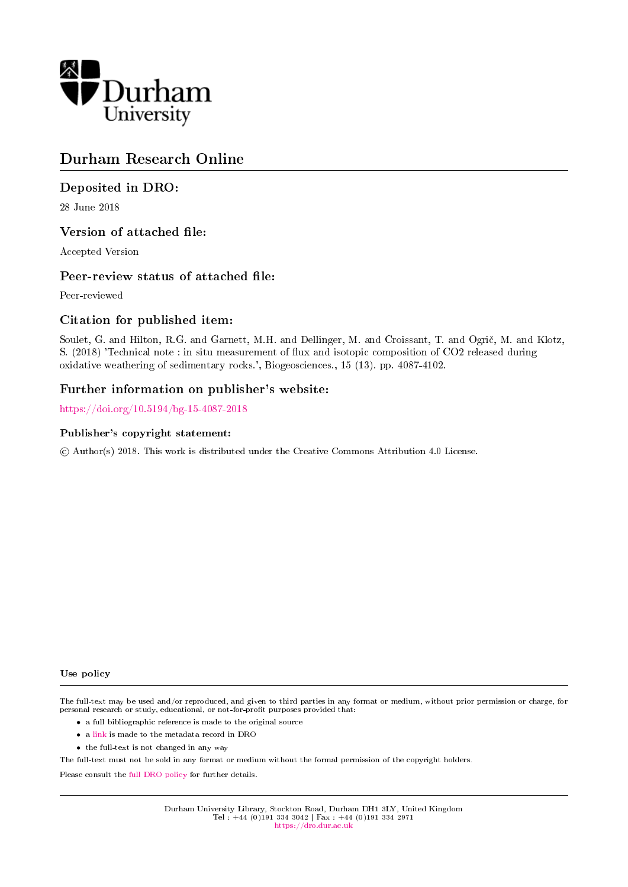

# Durham Research Online

# Deposited in DRO:

28 June 2018

# Version of attached file:

Accepted Version

# Peer-review status of attached file:

Peer-reviewed

# Citation for published item:

Soulet, G. and Hilton, R.G. and Garnett, M.H. and Dellinger, M. and Croissant, T. and Ogric, M. and Klotz, S. (2018) 'Technical note : in situ measurement of flux and isotopic composition of CO2 released during oxidative weathering of sedimentary rocks.', Biogeosciences., 15 (13). pp. 4087-4102.

# Further information on publisher's website:

<https://doi.org/10.5194/bg-15-4087-2018>

# Publisher's copyright statement:

c Author(s) 2018. This work is distributed under the Creative Commons Attribution 4.0 License.

Use policy

The full-text may be used and/or reproduced, and given to third parties in any format or medium, without prior permission or charge, for personal research or study, educational, or not-for-profit purposes provided that:

- a full bibliographic reference is made to the original source
- a [link](http://dro.dur.ac.uk/25352/) is made to the metadata record in DRO
- the full-text is not changed in any way

The full-text must not be sold in any format or medium without the formal permission of the copyright holders.

Please consult the [full DRO policy](https://dro.dur.ac.uk/policies/usepolicy.pdf) for further details.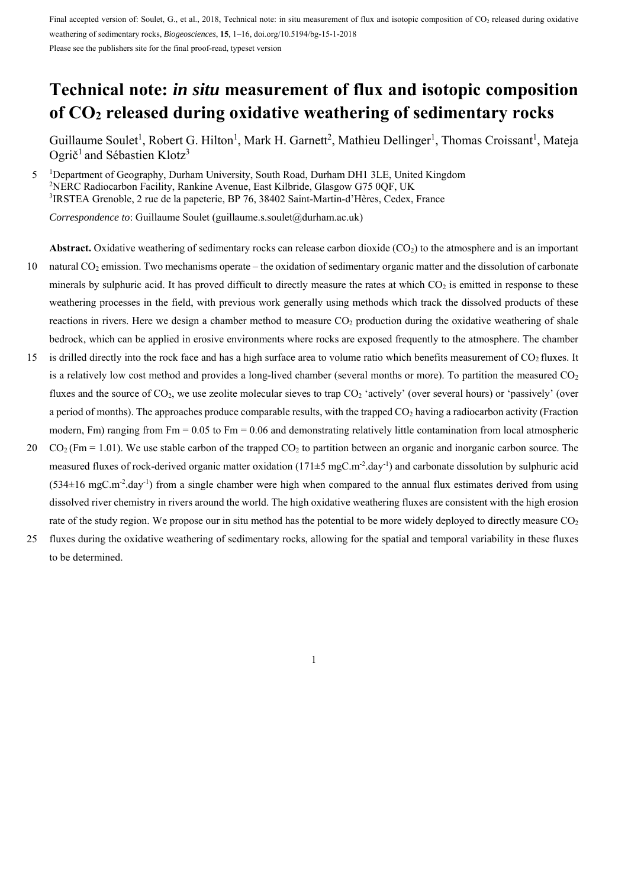Please see the publishers site for the final proof-read, typeset version

# **Technical note:** *in situ* **measurement of flux and isotopic composition of CO2 released during oxidative weathering of sedimentary rocks**

Guillaume Soulet<sup>1</sup>, Robert G. Hilton<sup>1</sup>, Mark H. Garnett<sup>2</sup>, Mathieu Dellinger<sup>1</sup>, Thomas Croissant<sup>1</sup>, Mateja Ogrič<sup>1</sup> and Sébastien Klotz<sup>3</sup>

<sup>1</sup> Department of Geography, Durham University, South Road, Durham DH1 3LE, United Kingdom<br><sup>2</sup>NERC Radiocarbon Facility, Rankine Avenue, Fast Kilbride, Glasgow G75,00E LIK <sup>2</sup>NERC Radiocarbon Facility, Rankine Avenue, East Kilbride, Glasgow G75 0QF, UK 3 IRSTEA Grenoble, 2 rue de la papeterie, BP 76, 38402 Saint-Martin-d'Hères, Cedex, France

*Correspondence to*: Guillaume Soulet (guillaume.s.soulet@durham.ac.uk)

**Abstract.** Oxidative weathering of sedimentary rocks can release carbon dioxide  $(CO<sub>2</sub>)$  to the atmosphere and is an important 10 natural CO2 emission. Two mechanisms operate – the oxidation of sedimentary organic matter and the dissolution of carbonate minerals by sulphuric acid. It has proved difficult to directly measure the rates at which  $CO<sub>2</sub>$  is emitted in response to these weathering processes in the field, with previous work generally using methods which track the dissolved products of these reactions in rivers. Here we design a chamber method to measure CO<sub>2</sub> production during the oxidative weathering of shale bedrock, which can be applied in erosive environments where rocks are exposed frequently to the atmosphere. The chamber

- 15 is drilled directly into the rock face and has a high surface area to volume ratio which benefits measurement of  $CO<sub>2</sub>$  fluxes. It is a relatively low cost method and provides a long-lived chamber (several months or more). To partition the measured  $CO<sub>2</sub>$ fluxes and the source of  $CO<sub>2</sub>$ , we use zeolite molecular sieves to trap  $CO<sub>2</sub>$  'actively' (over several hours) or 'passively' (over a period of months). The approaches produce comparable results, with the trapped  $CO<sub>2</sub>$  having a radiocarbon activity (Fraction modern, Fm) ranging from  $Fm = 0.05$  to  $Fm = 0.06$  and demonstrating relatively little contamination from local atmospheric
- 20  $CO_2$  (Fm = 1.01). We use stable carbon of the trapped  $CO_2$  to partition between an organic and inorganic carbon source. The measured fluxes of rock-derived organic matter oxidation (171±5 mgC.m-2.day-1) and carbonate dissolution by sulphuric acid  $(534\pm16 \text{ mgC} \cdot \text{m}^{-2} \cdot \text{day}^{-1})$  from a single chamber were high when compared to the annual flux estimates derived from using dissolved river chemistry in rivers around the world. The high oxidative weathering fluxes are consistent with the high erosion rate of the study region. We propose our in situ method has the potential to be more widely deployed to directly measure CO2
- 25 fluxes during the oxidative weathering of sedimentary rocks, allowing for the spatial and temporal variability in these fluxes to be determined.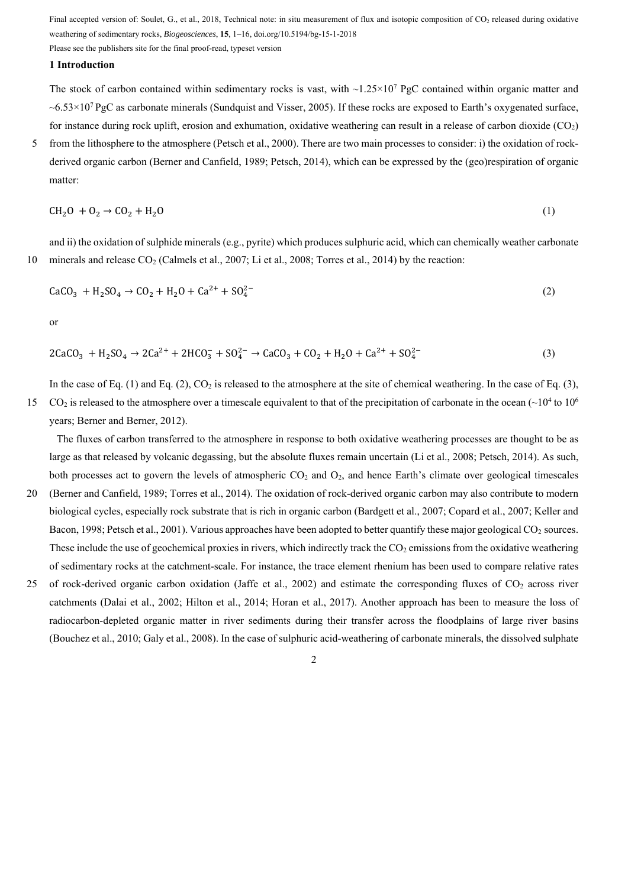Please see the publishers site for the final proof-read, typeset version

# **1 Introduction**

The stock of carbon contained within sedimentary rocks is vast, with  $\sim 1.25 \times 10^7$  PgC contained within organic matter and  $\sim$  6.53 $\times$ 10<sup>7</sup> PgC as carbonate minerals (Sundquist and Visser, 2005). If these rocks are exposed to Earth's oxygenated surface, for instance during rock uplift, erosion and exhumation, oxidative weathering can result in a release of carbon dioxide  $(CO_2)$ 

5 from the lithosphere to the atmosphere (Petsch et al., 2000). There are two main processes to consider: i) the oxidation of rockderived organic carbon (Berner and Canfield, 1989; Petsch, 2014), which can be expressed by the (geo)respiration of organic matter:

$$
CH2O + O2 \rightarrow CO2 + H2O
$$
 (1)

and ii) the oxidation of sulphide minerals (e.g., pyrite) which produces sulphuric acid, which can chemically weather carbonate 10 minerals and release CO<sub>2</sub> (Calmels et al., 2007; Li et al., 2008; Torres et al., 2014) by the reaction:

$$
CaCO3 + H2SO4 \to CO2 + H2O + Ca2+ + SO42-
$$
 (2)

or

$$
2CaCO_3 + H_2SO_4 \rightarrow 2Ca^{2+} + 2HCO_3^- + SO_4^{2-} \rightarrow CaCO_3 + CO_2 + H_2O + Ca^{2+} + SO_4^{2-} \tag{3}
$$

In the case of Eq. (1) and Eq. (2),  $CO_2$  is released to the atmosphere at the site of chemical weathering. In the case of Eq. (3),

15 CO<sub>2</sub> is released to the atmosphere over a timescale equivalent to that of the precipitation of carbonate in the ocean ( $\sim$ 10<sup>4</sup> to 10<sup>6</sup>) years; Berner and Berner, 2012).

The fluxes of carbon transferred to the atmosphere in response to both oxidative weathering processes are thought to be as large as that released by volcanic degassing, but the absolute fluxes remain uncertain (Li et al., 2008; Petsch, 2014). As such, both processes act to govern the levels of atmospheric  $CO<sub>2</sub>$  and  $O<sub>2</sub>$ , and hence Earth's climate over geological timescales

- 20 (Berner and Canfield, 1989; Torres et al., 2014). The oxidation of rock-derived organic carbon may also contribute to modern biological cycles, especially rock substrate that is rich in organic carbon (Bardgett et al., 2007; Copard et al., 2007; Keller and Bacon, 1998; Petsch et al., 2001). Various approaches have been adopted to better quantify these major geological CO<sub>2</sub> sources. These include the use of geochemical proxies in rivers, which indirectly track the  $CO<sub>2</sub>$  emissions from the oxidative weathering of sedimentary rocks at the catchment-scale. For instance, the trace element rhenium has been used to compare relative rates
- 25 of rock-derived organic carbon oxidation (Jaffe et al., 2002) and estimate the corresponding fluxes of  $CO<sub>2</sub>$  across river catchments (Dalai et al., 2002; Hilton et al., 2014; Horan et al., 2017). Another approach has been to measure the loss of radiocarbon-depleted organic matter in river sediments during their transfer across the floodplains of large river basins (Bouchez et al., 2010; Galy et al., 2008). In the case of sulphuric acid-weathering of carbonate minerals, the dissolved sulphate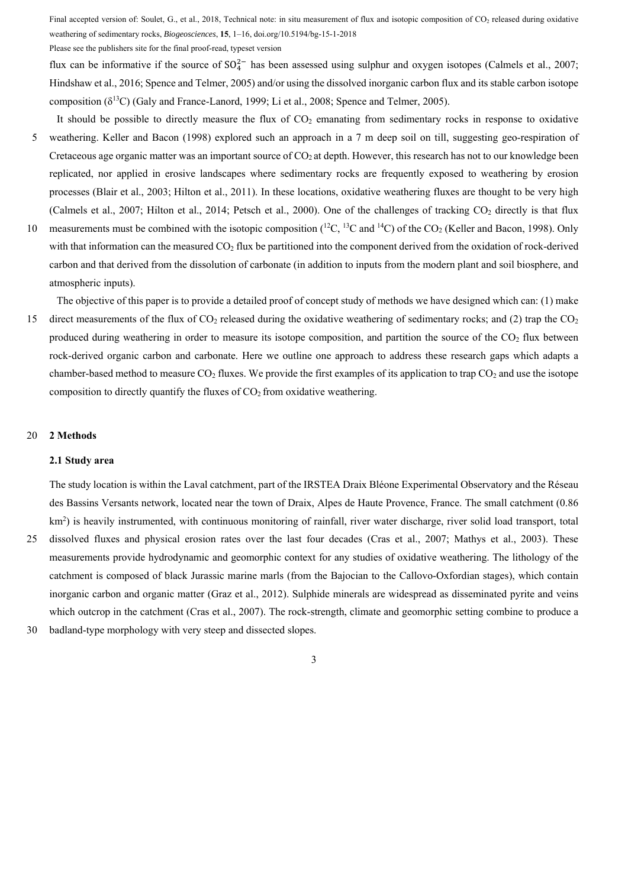Please see the publishers site for the final proof-read, typeset version

flux can be informative if the source of  $SO_4^{2-}$  has been assessed using sulphur and oxygen isotopes (Calmels et al., 2007; Hindshaw et al., 2016; Spence and Telmer, 2005) and/or using the dissolved inorganic carbon flux and its stable carbon isotope composition (δ13C) (Galy and France-Lanord, 1999; Li et al., 2008; Spence and Telmer, 2005).

- It should be possible to directly measure the flux of  $CO<sub>2</sub>$  emanating from sedimentary rocks in response to oxidative 5 weathering. Keller and Bacon (1998) explored such an approach in a 7 m deep soil on till, suggesting geo-respiration of Cretaceous age organic matter was an important source of  $CO<sub>2</sub>$  at depth. However, this research has not to our knowledge been replicated, nor applied in erosive landscapes where sedimentary rocks are frequently exposed to weathering by erosion processes (Blair et al., 2003; Hilton et al., 2011). In these locations, oxidative weathering fluxes are thought to be very high (Calmels et al., 2007; Hilton et al., 2014; Petsch et al., 2000). One of the challenges of tracking  $CO<sub>2</sub>$  directly is that flux
- 10 measurements must be combined with the isotopic composition  $(^{12}C, ^{13}C$  and  $^{14}C)$  of the CO<sub>2</sub> (Keller and Bacon, 1998). Only with that information can the measured  $CO<sub>2</sub>$  flux be partitioned into the component derived from the oxidation of rock-derived carbon and that derived from the dissolution of carbonate (in addition to inputs from the modern plant and soil biosphere, and atmospheric inputs).

The objective of this paper is to provide a detailed proof of concept study of methods we have designed which can: (1) make 15 direct measurements of the flux of  $CO<sub>2</sub>$  released during the oxidative weathering of sedimentary rocks; and (2) trap the  $CO<sub>2</sub>$ produced during weathering in order to measure its isotope composition, and partition the source of the  $CO<sub>2</sub>$  flux between rock-derived organic carbon and carbonate. Here we outline one approach to address these research gaps which adapts a chamber-based method to measure  $CO_2$  fluxes. We provide the first examples of its application to trap  $CO_2$  and use the isotope composition to directly quantify the fluxes of  $CO<sub>2</sub>$  from oxidative weathering.

## 20 **2 Methods**

#### **2.1 Study area**

The study location is within the Laval catchment, part of the IRSTEA Draix Bléone Experimental Observatory and the Réseau des Bassins Versants network, located near the town of Draix, Alpes de Haute Provence, France. The small catchment (0.86 km<sup>2</sup>) is heavily instrumented, with continuous monitoring of rainfall, river water discharge, river solid load transport, total 25 dissolved fluxes and physical erosion rates over the last four decades (Cras et al., 2007; Mathys et al., 2003). These measurements provide hydrodynamic and geomorphic context for any studies of oxidative weathering. The lithology of the catchment is composed of black Jurassic marine marls (from the Bajocian to the Callovo-Oxfordian stages), which contain

inorganic carbon and organic matter (Graz et al., 2012). Sulphide minerals are widespread as disseminated pyrite and veins which outcrop in the catchment (Cras et al., 2007). The rock-strength, climate and geomorphic setting combine to produce a

30 badland-type morphology with very steep and dissected slopes.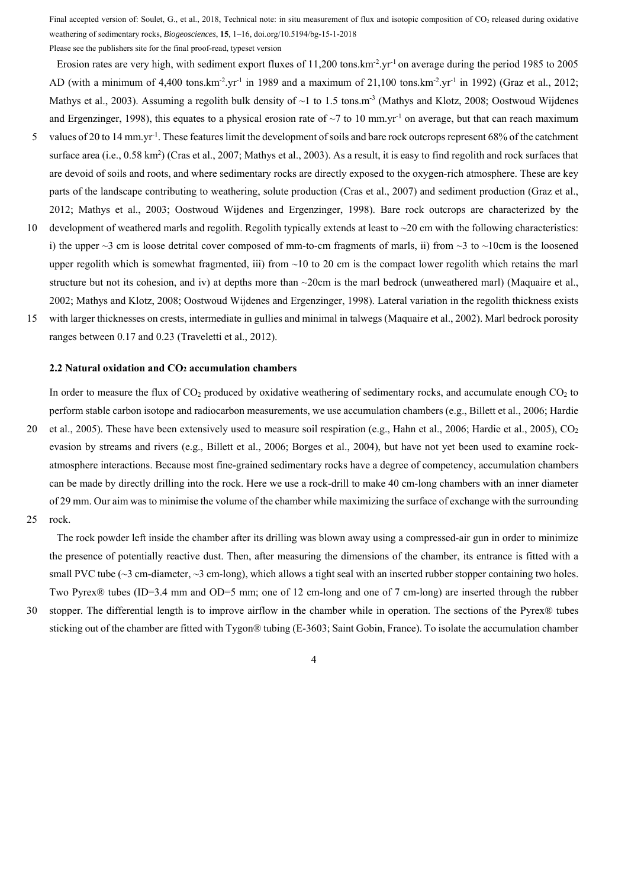Please see the publishers site for the final proof-read, typeset version

Erosion rates are very high, with sediment export fluxes of 11,200 tons.km<sup>-2</sup>.yr<sup>-1</sup> on average during the period 1985 to 2005 AD (with a minimum of 4,400 tons.km<sup>-2</sup>.yr<sup>-1</sup> in 1989 and a maximum of 21,100 tons.km<sup>-2</sup>.yr<sup>-1</sup> in 1992) (Graz et al., 2012; Mathys et al., 2003). Assuming a regolith bulk density of  $\sim$ 1 to 1.5 tons.m<sup>-3</sup> (Mathys and Klotz, 2008; Oostwoud Wijdenes and Ergenzinger, 1998), this equates to a physical erosion rate of  $\sim$ 7 to 10 mm.yr<sup>-1</sup> on average, but that can reach maximum

- 5 values of 20 to 14 mm.yr<sup>-1</sup>. These features limit the development of soils and bare rock outcrops represent  $68\%$  of the catchment surface area (i.e.,  $0.58 \text{ km}^2$ ) (Cras et al., 2007; Mathys et al., 2003). As a result, it is easy to find regolith and rock surfaces that are devoid of soils and roots, and where sedimentary rocks are directly exposed to the oxygen-rich atmosphere. These are key parts of the landscape contributing to weathering, solute production (Cras et al., 2007) and sediment production (Graz et al., 2012; Mathys et al., 2003; Oostwoud Wijdenes and Ergenzinger, 1998). Bare rock outcrops are characterized by the
- 10 development of weathered marls and regolith. Regolith typically extends at least to  $\sim$ 20 cm with the following characteristics: i) the upper  $\sim$ 3 cm is loose detrital cover composed of mm-to-cm fragments of marls, ii) from  $\sim$ 3 to  $\sim$ 10cm is the loosened upper regolith which is somewhat fragmented, iii) from  $\sim$ 10 to 20 cm is the compact lower regolith which retains the marl structure but not its cohesion, and iv) at depths more than  $\sim$ 20cm is the marl bedrock (unweathered marl) (Maquaire et al., 2002; Mathys and Klotz, 2008; Oostwoud Wijdenes and Ergenzinger, 1998). Lateral variation in the regolith thickness exists
- 15 with larger thicknesses on crests, intermediate in gullies and minimal in talwegs (Maquaire et al., 2002). Marl bedrock porosity ranges between 0.17 and 0.23 (Traveletti et al., 2012).

#### **2.2 Natural oxidation and CO2 accumulation chambers**

In order to measure the flux of  $CO<sub>2</sub>$  produced by oxidative weathering of sedimentary rocks, and accumulate enough  $CO<sub>2</sub>$  to perform stable carbon isotope and radiocarbon measurements, we use accumulation chambers (e.g., Billett et al., 2006; Hardie

- 20 et al., 2005). These have been extensively used to measure soil respiration (e.g., Hahn et al., 2006; Hardie et al., 2005), CO2 evasion by streams and rivers (e.g., Billett et al., 2006; Borges et al., 2004), but have not yet been used to examine rockatmosphere interactions. Because most fine-grained sedimentary rocks have a degree of competency, accumulation chambers can be made by directly drilling into the rock. Here we use a rock-drill to make 40 cm-long chambers with an inner diameter of 29 mm. Our aim was to minimise the volume of the chamber while maximizing the surface of exchange with the surrounding
- 25 rock.

The rock powder left inside the chamber after its drilling was blown away using a compressed-air gun in order to minimize the presence of potentially reactive dust. Then, after measuring the dimensions of the chamber, its entrance is fitted with a small PVC tube ( $\sim$ 3 cm-diameter,  $\sim$ 3 cm-long), which allows a tight seal with an inserted rubber stopper containing two holes. Two Pyrex® tubes (ID=3.4 mm and OD=5 mm; one of 12 cm-long and one of 7 cm-long) are inserted through the rubber

30 stopper. The differential length is to improve airflow in the chamber while in operation. The sections of the Pyrex® tubes

sticking out of the chamber are fitted with Tygon® tubing (E-3603; Saint Gobin, France). To isolate the accumulation chamber

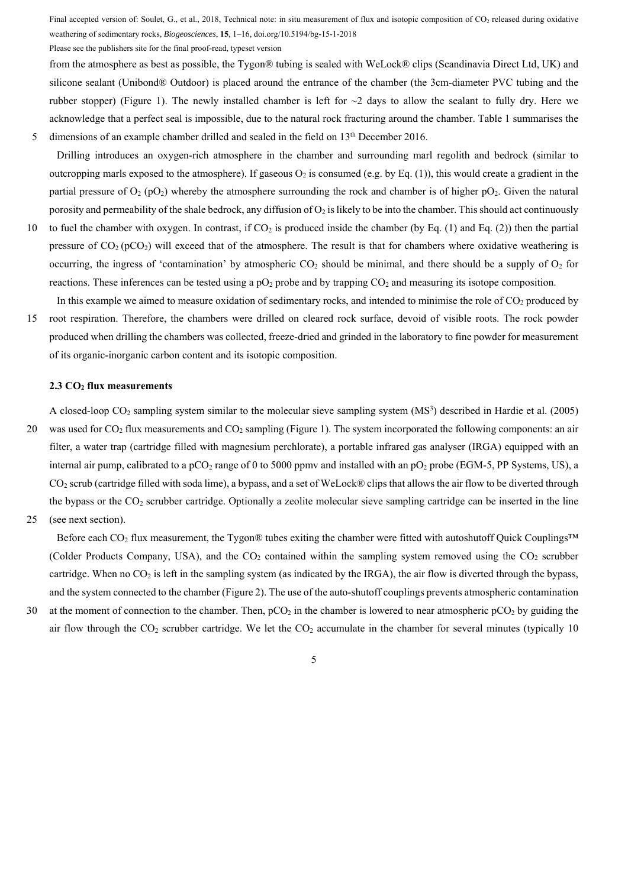Please see the publishers site for the final proof-read, typeset version

from the atmosphere as best as possible, the Tygon® tubing is sealed with WeLock® clips (Scandinavia Direct Ltd, UK) and silicone sealant (Unibond® Outdoor) is placed around the entrance of the chamber (the 3cm-diameter PVC tubing and the rubber stopper) (Figure 1). The newly installed chamber is left for  $\sim$ 2 days to allow the sealant to fully dry. Here we acknowledge that a perfect seal is impossible, due to the natural rock fracturing around the chamber. Table 1 summarises the 5 dimensions of an example chamber drilled and sealed in the field on 13<sup>th</sup> December 2016.

- Drilling introduces an oxygen-rich atmosphere in the chamber and surrounding marl regolith and bedrock (similar to outcropping marls exposed to the atmosphere). If gaseous  $O_2$  is consumed (e.g. by Eq. (1)), this would create a gradient in the partial pressure of  $O_2$  (pO<sub>2</sub>) whereby the atmosphere surrounding the rock and chamber is of higher pO<sub>2</sub>. Given the natural porosity and permeability of the shale bedrock, any diffusion of  $O_2$  is likely to be into the chamber. This should act continuously
- 10 to fuel the chamber with oxygen. In contrast, if CO2 is produced inside the chamber (by Eq. (1) and Eq. (2)) then the partial pressure of  $CO<sub>2</sub>$  (pCO<sub>2</sub>) will exceed that of the atmosphere. The result is that for chambers where oxidative weathering is occurring, the ingress of 'contamination' by atmospheric  $CO_2$  should be minimal, and there should be a supply of  $O_2$  for reactions. These inferences can be tested using a  $pO_2$  probe and by trapping  $CO_2$  and measuring its isotope composition.
- In this example we aimed to measure oxidation of sedimentary rocks, and intended to minimise the role of  $CO<sub>2</sub>$  produced by 15 root respiration. Therefore, the chambers were drilled on cleared rock surface, devoid of visible roots. The rock powder produced when drilling the chambers was collected, freeze-dried and grinded in the laboratory to fine powder for measurement of its organic-inorganic carbon content and its isotopic composition.

#### **2.3 CO2 flux measurements**

A closed-loop  $CO_2$  sampling system similar to the molecular sieve sampling system  $(MS^3)$  described in Hardie et al. (2005) 20 was used for  $CO<sub>2</sub>$  flux measurements and  $CO<sub>2</sub>$  sampling (Figure 1). The system incorporated the following components: an air filter, a water trap (cartridge filled with magnesium perchlorate), a portable infrared gas analyser (IRGA) equipped with an internal air pump, calibrated to a  $pCO_2$  range of 0 to 5000 ppmv and installed with an  $pO_2$  probe (EGM-5, PP Systems, US), a CO2 scrub (cartridge filled with soda lime), a bypass, and a set of WeLock® clips that allows the air flow to be diverted through the bypass or the  $CO_2$  scrubber cartridge. Optionally a zeolite molecular sieve sampling cartridge can be inserted in the line

25 (see next section).

Before each CO<sub>2</sub> flux measurement, the Tygon® tubes exiting the chamber were fitted with autoshutoff Ouick Couplings™ (Colder Products Company, USA), and the  $CO<sub>2</sub>$  contained within the sampling system removed using the  $CO<sub>2</sub>$  scrubber cartridge. When no  $CO_2$  is left in the sampling system (as indicated by the IRGA), the air flow is diverted through the bypass, and the system connected to the chamber (Figure 2). The use of the auto-shutoff couplings prevents atmospheric contamination

30 at the moment of connection to the chamber. Then,  $pCO_2$  in the chamber is lowered to near atmospheric  $pCO_2$  by guiding the air flow through the  $CO<sub>2</sub>$  scrubber cartridge. We let the  $CO<sub>2</sub>$  accumulate in the chamber for several minutes (typically 10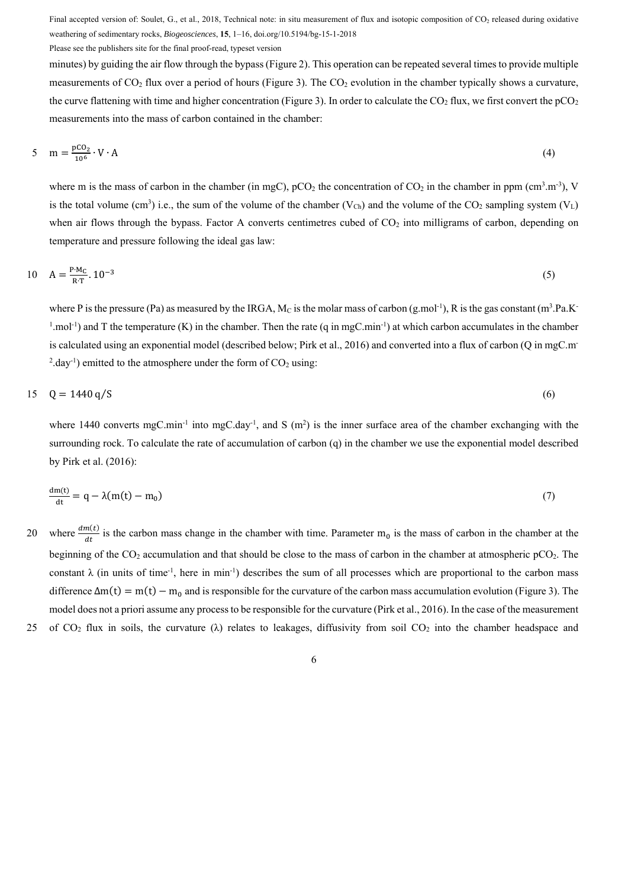Please see the publishers site for the final proof-read, typeset version

minutes) by guiding the air flow through the bypass (Figure 2). This operation can be repeated several times to provide multiple measurements of  $CO<sub>2</sub>$  flux over a period of hours (Figure 3). The  $CO<sub>2</sub>$  evolution in the chamber typically shows a curvature, the curve flattening with time and higher concentration (Figure 3). In order to calculate the CO<sub>2</sub> flux, we first convert the  $pCO<sub>2</sub>$ measurements into the mass of carbon contained in the chamber:

$$
5 \quad m = \frac{p \text{CO}_2}{10^6} \cdot V \cdot A \tag{4}
$$

where m is the mass of carbon in the chamber (in mgC),  $pCO_2$  the concentration of  $CO_2$  in the chamber in ppm (cm<sup>3</sup>.m<sup>-3</sup>), V is the total volume (cm<sup>3</sup>) i.e., the sum of the volume of the chamber ( $V_{Ch}$ ) and the volume of the CO<sub>2</sub> sampling system ( $V_L$ ) when air flows through the bypass. Factor A converts centimetres cubed of  $CO<sub>2</sub>$  into milligrams of carbon, depending on temperature and pressure following the ideal gas law:

$$
10 \quad A = \frac{P \cdot M_C}{R \cdot T} \cdot 10^{-3} \tag{5}
$$

where P is the pressure (Pa) as measured by the IRGA, M<sub>C</sub> is the molar mass of carbon (g.mol<sup>-1</sup>), R is the gas constant (m<sup>3</sup>.Pa.K<sup>-</sup>  $1 \mod 1$  and T the temperature (K) in the chamber. Then the rate (q in mgC.min<sup>-1</sup>) at which carbon accumulates in the chamber is calculated using an exponential model (described below; Pirk et al., 2016) and converted into a flux of carbon (Q in mgC.m- $^{2}$ .day<sup>-1</sup>) emitted to the atmosphere under the form of CO<sub>2</sub> using:

$$
15 \quad Q = 1440 \,\mathrm{q/S} \tag{6}
$$

where 1440 converts mgC.min<sup>-1</sup> into mgC.day<sup>-1</sup>, and S (m<sup>2</sup>) is the inner surface area of the chamber exchanging with the surrounding rock. To calculate the rate of accumulation of carbon (q) in the chamber we use the exponential model described by Pirk et al. (2016):

$$
\frac{dm(t)}{dt} = q - \lambda (m(t) - m_0) \tag{7}
$$

- 20 where  $\frac{dm(t)}{dt}$  is the carbon mass change in the chamber with time. Parameter m<sub>0</sub> is the mass of carbon in the chamber at the beginning of the CO<sub>2</sub> accumulation and that should be close to the mass of carbon in the chamber at atmospheric pCO<sub>2</sub>. The constant  $\lambda$  (in units of time<sup>-1</sup>, here in min<sup>-1</sup>) describes the sum of all processes which are proportional to the carbon mass difference  $\Delta m(t) = m(t) - m_0$  and is responsible for the curvature of the carbon mass accumulation evolution (Figure 3). The model does not a priori assume any process to be responsible for the curvature (Pirk et al., 2016). In the case of the measurement
- 25 of CO<sub>2</sub> flux in soils, the curvature ( $\lambda$ ) relates to leakages, diffusivity from soil CO<sub>2</sub> into the chamber headspace and

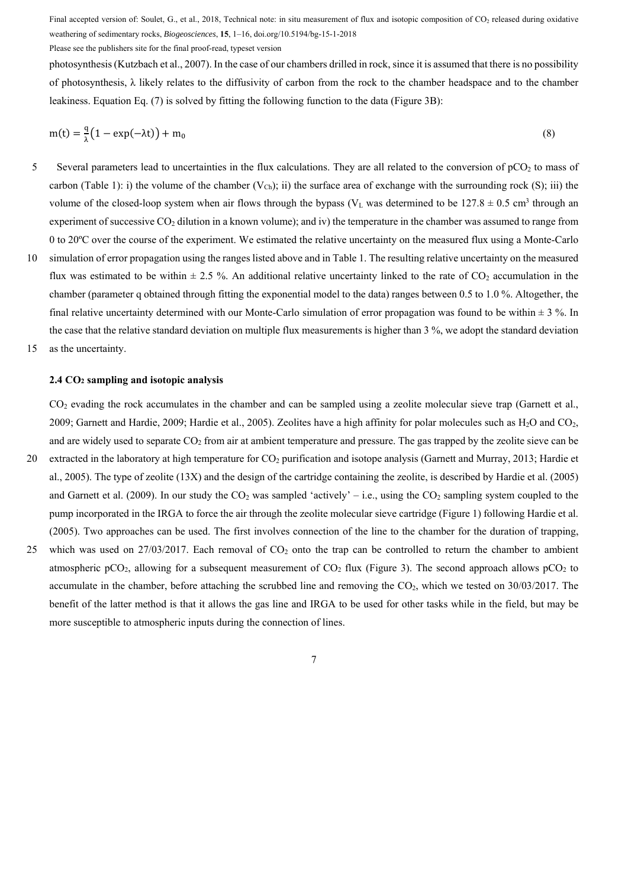Please see the publishers site for the final proof-read, typeset version

photosynthesis (Kutzbach et al., 2007). In the case of our chambers drilled in rock, since it is assumed that there is no possibility of photosynthesis, λ likely relates to the diffusivity of carbon from the rock to the chamber headspace and to the chamber leakiness. Equation Eq. (7) is solved by fitting the following function to the data (Figure 3B):

$$
m(t) = \frac{q}{\lambda} \left( 1 - \exp(-\lambda t) \right) + m_0 \tag{8}
$$

- 5 Several parameters lead to uncertainties in the flux calculations. They are all related to the conversion of  $pCO<sub>2</sub>$  to mass of carbon (Table 1): i) the volume of the chamber  $(V_{Ch})$ ; ii) the surface area of exchange with the surrounding rock (S); iii) the volume of the closed-loop system when air flows through the bypass ( $V_L$  was determined to be  $127.8 \pm 0.5$  cm<sup>3</sup> through an experiment of successive  $CO_2$  dilution in a known volume); and iv) the temperature in the chamber was assumed to range from 0 to 20ºC over the course of the experiment. We estimated the relative uncertainty on the measured flux using a Monte-Carlo
- 10 simulation of error propagation using the ranges listed above and in Table 1. The resulting relative uncertainty on the measured flux was estimated to be within  $\pm 2.5$  %. An additional relative uncertainty linked to the rate of CO<sub>2</sub> accumulation in the chamber (parameter q obtained through fitting the exponential model to the data) ranges between 0.5 to 1.0 %. Altogether, the final relative uncertainty determined with our Monte-Carlo simulation of error propagation was found to be within  $\pm$  3 %. In the case that the relative standard deviation on multiple flux measurements is higher than 3 %, we adopt the standard deviation
- 15 as the uncertainty.

#### **2.4 CO2 sampling and isotopic analysis**

CO<sub>2</sub> evading the rock accumulates in the chamber and can be sampled using a zeolite molecular sieve trap (Garnett et al., 2009; Garnett and Hardie, 2009; Hardie et al., 2005). Zeolites have a high affinity for polar molecules such as  $H_2O$  and  $CO<sub>2</sub>$ , and are widely used to separate  $CO<sub>2</sub>$  from air at ambient temperature and pressure. The gas trapped by the zeolite sieve can be

- 20 extracted in the laboratory at high temperature for  $CO<sub>2</sub>$  purification and isotope analysis (Garnett and Murray, 2013; Hardie et al., 2005). The type of zeolite (13X) and the design of the cartridge containing the zeolite, is described by Hardie et al. (2005) and Garnett et al. (2009). In our study the  $CO<sub>2</sub>$  was sampled 'actively' – i.e., using the  $CO<sub>2</sub>$  sampling system coupled to the pump incorporated in the IRGA to force the air through the zeolite molecular sieve cartridge (Figure 1) following Hardie et al. (2005). Two approaches can be used. The first involves connection of the line to the chamber for the duration of trapping,
- 25 which was used on  $27/03/2017$ . Each removal of  $CO<sub>2</sub>$  onto the trap can be controlled to return the chamber to ambient atmospheric pCO<sub>2</sub>, allowing for a subsequent measurement of CO<sub>2</sub> flux (Figure 3). The second approach allows pCO<sub>2</sub> to accumulate in the chamber, before attaching the scrubbed line and removing the CO<sub>2</sub>, which we tested on 30/03/2017. The benefit of the latter method is that it allows the gas line and IRGA to be used for other tasks while in the field, but may be more susceptible to atmospheric inputs during the connection of lines.

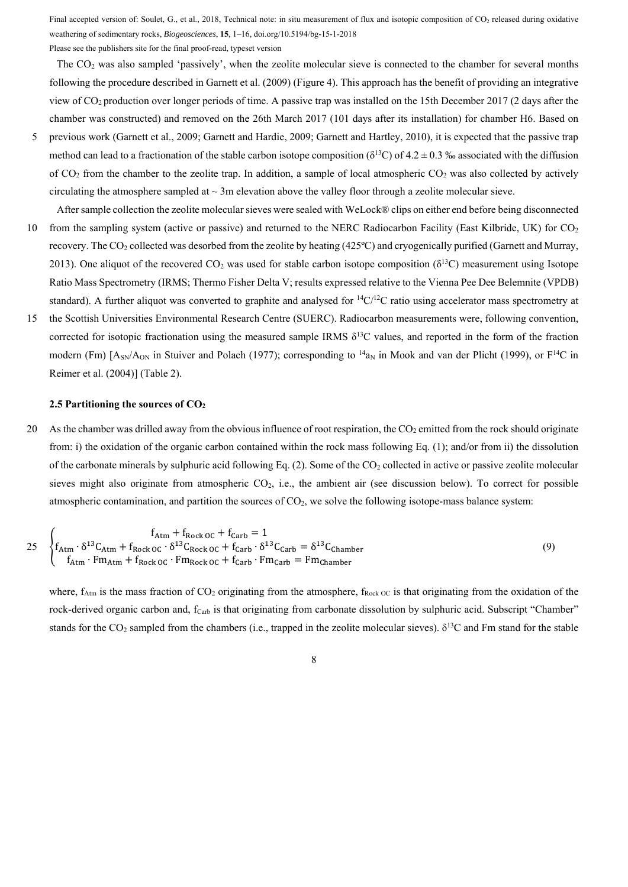Please see the publishers site for the final proof-read, typeset version

The  $CO<sub>2</sub>$  was also sampled 'passively', when the zeolite molecular sieve is connected to the chamber for several months following the procedure described in Garnett et al. (2009) (Figure 4). This approach has the benefit of providing an integrative view of CO2 production over longer periods of time. A passive trap was installed on the 15th December 2017 (2 days after the chamber was constructed) and removed on the 26th March 2017 (101 days after its installation) for chamber H6. Based on

- 5 previous work (Garnett et al., 2009; Garnett and Hardie, 2009; Garnett and Hartley, 2010), it is expected that the passive trap method can lead to a fractionation of the stable carbon isotope composition ( $\delta^{13}$ C) of 4.2  $\pm$  0.3 ‰ associated with the diffusion of  $CO<sub>2</sub>$  from the chamber to the zeolite trap. In addition, a sample of local atmospheric  $CO<sub>2</sub>$  was also collected by actively circulating the atmosphere sampled at  $\sim 3$ m elevation above the valley floor through a zeolite molecular sieve.
- After sample collection the zeolite molecular sieves were sealed with WeLock® clips on either end before being disconnected 10 from the sampling system (active or passive) and returned to the NERC Radiocarbon Facility (East Kilbride, UK) for  $CO<sub>2</sub>$ recovery. The CO2 collected was desorbed from the zeolite by heating (425ºC) and cryogenically purified (Garnett and Murray, 2013). One aliquot of the recovered  $CO<sub>2</sub>$  was used for stable carbon isotope composition ( $\delta^{13}C$ ) measurement using Isotope Ratio Mass Spectrometry (IRMS; Thermo Fisher Delta V; results expressed relative to the Vienna Pee Dee Belemnite (VPDB) standard). A further aliquot was converted to graphite and analysed for  ${}^{14}C/{}^{12}C$  ratio using accelerator mass spectrometry at
- 15 the Scottish Universities Environmental Research Centre (SUERC). Radiocarbon measurements were, following convention, corrected for isotopic fractionation using the measured sample IRMS  $\delta^{13}$ C values, and reported in the form of the fraction modern (Fm)  $[A_{SN}/A_{ON}$  in Stuiver and Polach (1977); corresponding to  $^{14}a_N$  in Mook and van der Plicht (1999), or  $F^{14}C$  in Reimer et al. (2004)] (Table 2).

#### **2.5 Partitioning the sources of CO2**

20 As the chamber was drilled away from the obvious influence of root respiration, the CO<sub>2</sub> emitted from the rock should originate from: i) the oxidation of the organic carbon contained within the rock mass following Eq. (1); and/or from ii) the dissolution of the carbonate minerals by sulphuric acid following Eq.  $(2)$ . Some of the CO<sub>2</sub> collected in active or passive zeolite molecular sieves might also originate from atmospheric  $CO<sub>2</sub>$ , i.e., the ambient air (see discussion below). To correct for possible atmospheric contamination, and partition the sources of CO2, we solve the following isotope-mass balance system:

$$
25\begin{cases}\nf_{\text{Atm}} + f_{\text{Rock 0C}} + f_{\text{Carb}} = 1 \\
f_{\text{Atm}} \cdot \delta^{13} C_{\text{Atm}} + f_{\text{Rock 0C}} \cdot \delta^{13} C_{\text{Rock 0C}} + f_{\text{Carb}} \cdot \delta^{13} C_{\text{Carb}} = \delta^{13} C_{\text{Chamber}} \\
f_{\text{Atm}} \cdot Fm_{\text{Atm}} + f_{\text{Rock 0C}} \cdot Fm_{\text{Rock 0C}} + f_{\text{Carb}} \cdot Fm_{\text{Carb}} = Fm_{\text{Chamber}}\n\end{cases}
$$
\n(9)

where,  $f_{Atm}$  is the mass fraction of CO<sub>2</sub> originating from the atmosphere,  $f_{Rock\,OC}$  is that originating from the oxidation of the rock-derived organic carbon and, f<sub>Carb</sub> is that originating from carbonate dissolution by sulphuric acid. Subscript "Chamber" stands for the CO<sub>2</sub> sampled from the chambers (i.e., trapped in the zeolite molecular sieves).  $\delta^{13}$ C and Fm stand for the stable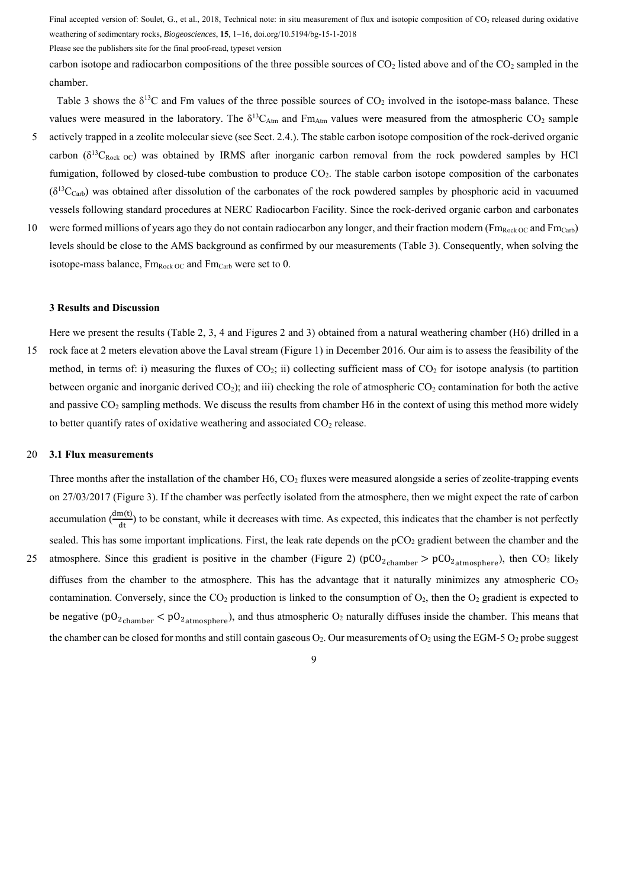Please see the publishers site for the final proof-read, typeset version

carbon isotope and radiocarbon compositions of the three possible sources of  $CO<sub>2</sub>$  listed above and of the  $CO<sub>2</sub>$  sampled in the chamber.

Table 3 shows the  $\delta^{13}C$  and Fm values of the three possible sources of  $CO_2$  involved in the isotope-mass balance. These values were measured in the laboratory. The  $\delta^{13}C_{Atm}$  and Fm<sub>Atm</sub> values were measured from the atmospheric CO<sub>2</sub> sample 5 actively trapped in a zeolite molecular sieve (see Sect. 2.4.). The stable carbon isotope composition of the rock-derived organic

- carbon ( $\delta^{13}C_{Rock OC}$ ) was obtained by IRMS after inorganic carbon removal from the rock powdered samples by HCl fumigation, followed by closed-tube combustion to produce CO<sub>2</sub>. The stable carbon isotope composition of the carbonates  $(\delta^{13}C_{\text{carb}})$  was obtained after dissolution of the carbonates of the rock powdered samples by phosphoric acid in vacuumed vessels following standard procedures at NERC Radiocarbon Facility. Since the rock-derived organic carbon and carbonates
- 10 were formed millions of years ago they do not contain radiocarbon any longer, and their fraction modern ( $Fm_{Rock,OC}$  and  $Fm_{Carb}$ ) levels should be close to the AMS background as confirmed by our measurements (Table 3). Consequently, when solving the isotope-mass balance,  $Fm_{Rock\,OC}$  and  $Fm_{Carb}$  were set to 0.

#### **3 Results and Discussion**

Here we present the results (Table 2, 3, 4 and Figures 2 and 3) obtained from a natural weathering chamber (H6) drilled in a 15 rock face at 2 meters elevation above the Laval stream (Figure 1) in December 2016. Our aim is to assess the feasibility of the method, in terms of: i) measuring the fluxes of  $CO<sub>2</sub>$ ; ii) collecting sufficient mass of  $CO<sub>2</sub>$  for isotope analysis (to partition between organic and inorganic derived  $CO<sub>2</sub>$ ); and iii) checking the role of atmospheric  $CO<sub>2</sub>$  contamination for both the active and passive CO<sub>2</sub> sampling methods. We discuss the results from chamber H6 in the context of using this method more widely to better quantify rates of oxidative weathering and associated  $CO<sub>2</sub>$  release.

#### 20 **3.1 Flux measurements**

Three months after the installation of the chamber H6, CO<sub>2</sub> fluxes were measured alongside a series of zeolite-trapping events on 27/03/2017 (Figure 3). If the chamber was perfectly isolated from the atmosphere, then we might expect the rate of carbon accumulation  $\left(\frac{dm(t)}{dt}\right)$  to be constant, while it decreases with time. As expected, this indicates that the chamber is not perfectly sealed. This has some important implications. First, the leak rate depends on the  $pCO<sub>2</sub>$  gradient between the chamber and the 25 atmosphere. Since this gradient is positive in the chamber (Figure 2) ( $pCO<sub>2</sub>$ <sub>chamber</sub> >  $pCO<sub>2</sub>$ <sub>atmosphere</sub>), then CO<sub>2</sub> likely diffuses from the chamber to the atmosphere. This has the advantage that it naturally minimizes any atmospheric  $CO<sub>2</sub>$ contamination. Conversely, since the  $CO_2$  production is linked to the consumption of  $O_2$ , then the  $O_2$  gradient is expected to be negative ( $pO<sub>2</sub>$ <sub>chamber</sub>  $< pO<sub>2</sub>$ <sub>atmosphere</sub>), and thus atmospheric  $O<sub>2</sub>$  naturally diffuses inside the chamber. This means that the chamber can be closed for months and still contain gaseous  $O_2$ . Our measurements of  $O_2$  using the EGM-5  $O_2$  probe suggest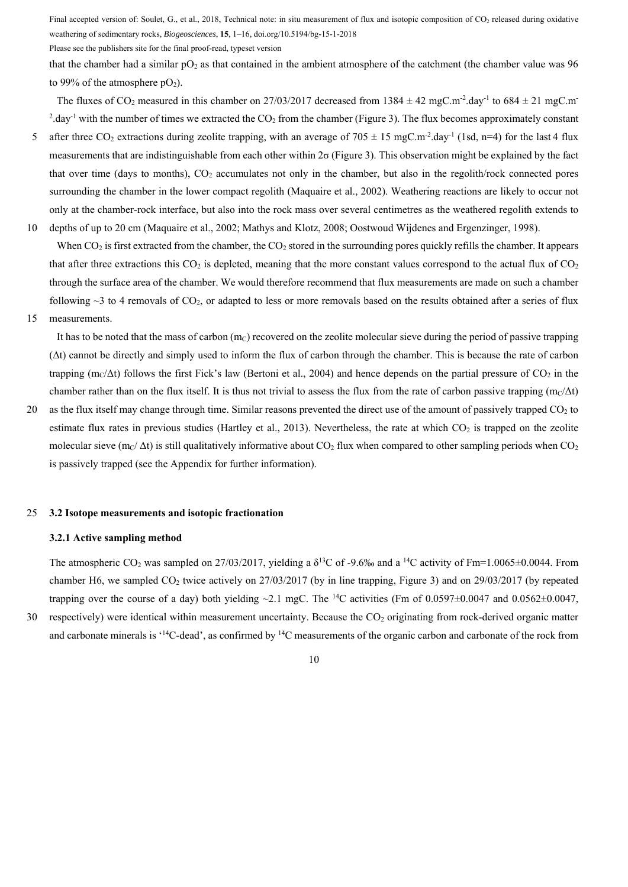Please see the publishers site for the final proof-read, typeset version

that the chamber had a similar  $pO_2$  as that contained in the ambient atmosphere of the catchment (the chamber value was 96 to 99% of the atmosphere  $pO<sub>2</sub>$ ).

The fluxes of CO<sub>2</sub> measured in this chamber on 27/03/2017 decreased from  $1384 \pm 42$  mgC.m<sup>-2</sup>.day<sup>-1</sup> to  $684 \pm 21$  mgC.m<sup>-</sup> <sup>2</sup>.day<sup>-1</sup> with the number of times we extracted the  $CO_2$  from the chamber (Figure 3). The flux becomes approximately constant

5 after three CO<sub>2</sub> extractions during zeolite trapping, with an average of 705  $\pm$  15 mgC.m<sup>-2</sup>.day<sup>-1</sup> (1sd, n=4) for the last 4 flux measurements that are indistinguishable from each other within  $2\sigma$  (Figure 3). This observation might be explained by the fact that over time (days to months),  $CO<sub>2</sub>$  accumulates not only in the chamber, but also in the regolith/rock connected pores surrounding the chamber in the lower compact regolith (Maquaire et al., 2002). Weathering reactions are likely to occur not only at the chamber-rock interface, but also into the rock mass over several centimetres as the weathered regolith extends to 10 depths of up to 20 cm (Maquaire et al., 2002; Mathys and Klotz, 2008; Oostwoud Wijdenes and Ergenzinger, 1998).

When  $CO<sub>2</sub>$  is first extracted from the chamber, the  $CO<sub>2</sub>$  stored in the surrounding pores quickly refills the chamber. It appears that after three extractions this  $CO<sub>2</sub>$  is depleted, meaning that the more constant values correspond to the actual flux of  $CO<sub>2</sub>$ through the surface area of the chamber. We would therefore recommend that flux measurements are made on such a chamber following  $\sim$ 3 to 4 removals of CO<sub>2</sub>, or adapted to less or more removals based on the results obtained after a series of flux

15 measurements.

It has to be noted that the mass of carbon  $(m<sub>C</sub>)$  recovered on the zeolite molecular sieve during the period of passive trapping (Δt) cannot be directly and simply used to inform the flux of carbon through the chamber. This is because the rate of carbon trapping (m<sub>C</sub>/ $\Delta t$ ) follows the first Fick's law (Bertoni et al., 2004) and hence depends on the partial pressure of CO<sub>2</sub> in the chamber rather than on the flux itself. It is thus not trivial to assess the flux from the rate of carbon passive trapping  $(m<sub>C</sub>/\Delta t)$ 

20 as the flux itself may change through time. Similar reasons prevented the direct use of the amount of passively trapped  $CO<sub>2</sub>$  to estimate flux rates in previous studies (Hartley et al., 2013). Nevertheless, the rate at which  $CO<sub>2</sub>$  is trapped on the zeolite molecular sieve (m<sub>C</sub>/  $\Delta t$ ) is still qualitatively informative about CO<sub>2</sub> flux when compared to other sampling periods when CO<sub>2</sub> is passively trapped (see the Appendix for further information).

#### 25 **3.2 Isotope measurements and isotopic fractionation**

## **3.2.1 Active sampling method**

The atmospheric CO<sub>2</sub> was sampled on 27/03/2017, yielding a  $\delta^{13}$ C of -9.6‰ and a <sup>14</sup>C activity of Fm=1.0065±0.0044. From chamber H6, we sampled CO<sub>2</sub> twice actively on 27/03/2017 (by in line trapping, Figure 3) and on 29/03/2017 (by repeated trapping over the course of a day) both yielding ~2.1 mgC. The <sup>14</sup>C activities (Fm of 0.0597 $\pm$ 0.0047 and 0.0562 $\pm$ 0.0047, 30 respectively) were identical within measurement uncertainty. Because the CO<sub>2</sub> originating from rock-derived organic matter

10

and carbonate minerals is  $14C$ -dead', as confirmed by  $14C$  measurements of the organic carbon and carbonate of the rock from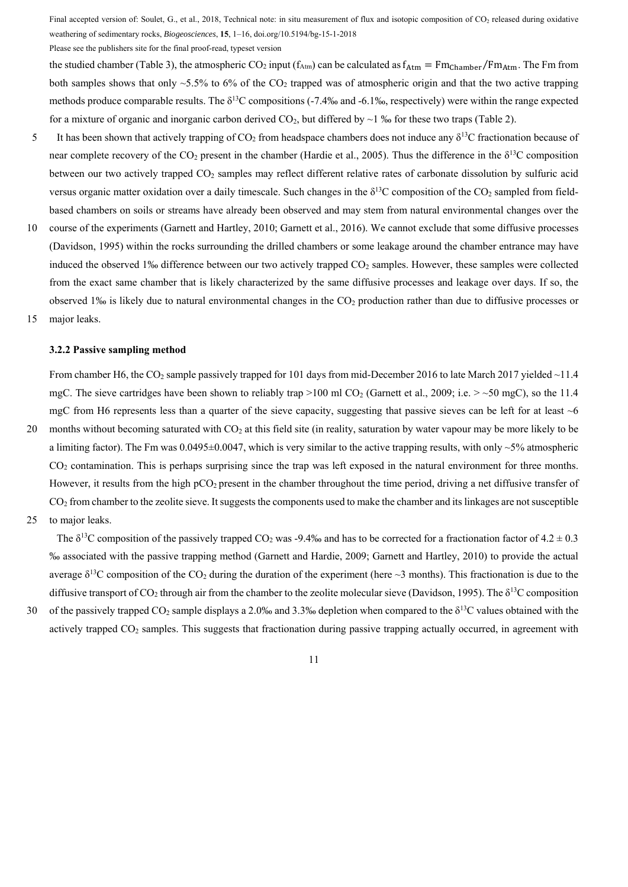Please see the publishers site for the final proof-read, typeset version

the studied chamber (Table 3), the atmospheric CO<sub>2</sub> input ( $f_{Atm}$ ) can be calculated as  $f_{Atm} = Fm_{Chamber}/Fm_{Atm}$ . The Fm from both samples shows that only  $\sim$ 5.5% to 6% of the CO<sub>2</sub> trapped was of atmospheric origin and that the two active trapping methods produce comparable results. The  $\delta^{13}C$  compositions (-7.4‰ and -6.1‰, respectively) were within the range expected for a mixture of organic and inorganic carbon derived  $CO<sub>2</sub>$ , but differed by  $\sim$  1 ‰ for these two traps (Table 2).

- It has been shown that actively trapping of CO<sub>2</sub> from headspace chambers does not induce any  $\delta^{13}C$  fractionation because of near complete recovery of the  $CO_2$  present in the chamber (Hardie et al., 2005). Thus the difference in the  $\delta^{13}C$  composition between our two actively trapped CO<sub>2</sub> samples may reflect different relative rates of carbonate dissolution by sulfuric acid versus organic matter oxidation over a daily timescale. Such changes in the  $\delta^{13}$ C composition of the CO<sub>2</sub> sampled from fieldbased chambers on soils or streams have already been observed and may stem from natural environmental changes over the
- 10 course of the experiments (Garnett and Hartley, 2010; Garnett et al., 2016). We cannot exclude that some diffusive processes (Davidson, 1995) within the rocks surrounding the drilled chambers or some leakage around the chamber entrance may have induced the observed 1‰ difference between our two actively trapped CO<sub>2</sub> samples. However, these samples were collected from the exact same chamber that is likely characterized by the same diffusive processes and leakage over days. If so, the observed 1‰ is likely due to natural environmental changes in the  $CO<sub>2</sub>$  production rather than due to diffusive processes or
- 15 major leaks.

## **3.2.2 Passive sampling method**

From chamber H6, the CO<sub>2</sub> sample passively trapped for 101 days from mid-December 2016 to late March 2017 yielded ~11.4 mgC. The sieve cartridges have been shown to reliably trap >100 ml CO<sub>2</sub> (Garnett et al., 2009; i.e. > ~50 mgC), so the 11.4 mgC from H6 represents less than a quarter of the sieve capacity, suggesting that passive sieves can be left for at least  $\sim$ 6

- 20 months without becoming saturated with CO<sub>2</sub> at this field site (in reality, saturation by water vapour may be more likely to be a limiting factor). The Fm was  $0.0495\pm0.0047$ , which is very similar to the active trapping results, with only  $\sim$ 5% atmospheric CO2 contamination. This is perhaps surprising since the trap was left exposed in the natural environment for three months. However, it results from the high  $pCO<sub>2</sub>$  present in the chamber throughout the time period, driving a net diffusive transfer of  $CO<sub>2</sub>$  from chamber to the zeolite sieve. It suggests the components used to make the chamber and its linkages are not susceptible
- 25 to major leaks.

The  $\delta^{13}$ C composition of the passively trapped CO<sub>2</sub> was -9.4‰ and has to be corrected for a fractionation factor of 4.2  $\pm$  0.3 ‰ associated with the passive trapping method (Garnett and Hardie, 2009; Garnett and Hartley, 2010) to provide the actual average  $\delta^{13}$ C composition of the CO<sub>2</sub> during the duration of the experiment (here  $\sim$ 3 months). This fractionation is due to the diffusive transport of CO<sub>2</sub> through air from the chamber to the zeolite molecular sieve (Davidson, 1995). The  $\delta^{13}$ C composition

30 of the passively trapped CO<sub>2</sub> sample displays a 2.0‰ and 3.3‰ depletion when compared to the  $\delta^{13}$ C values obtained with the actively trapped  $CO<sub>2</sub>$  samples. This suggests that fractionation during passive trapping actually occurred, in agreement with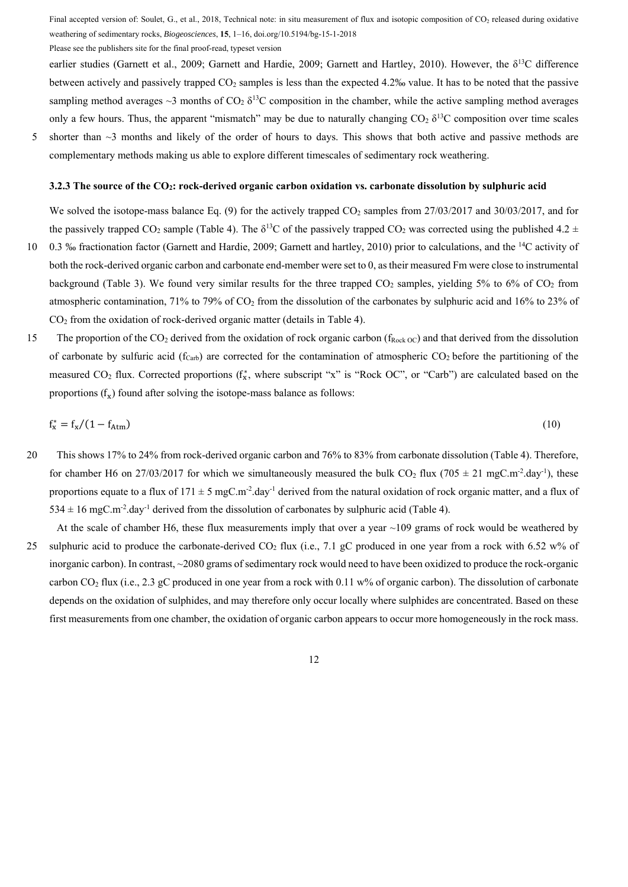Please see the publishers site for the final proof-read, typeset version

earlier studies (Garnett et al., 2009; Garnett and Hardie, 2009; Garnett and Hartley, 2010). However, the δ<sup>13</sup>C difference between actively and passively trapped CO2 samples is less than the expected 4.2‰ value. It has to be noted that the passive sampling method averages  $\sim$ 3 months of CO<sub>2</sub>  $\delta^{13}$ C composition in the chamber, while the active sampling method averages only a few hours. Thus, the apparent "mismatch" may be due to naturally changing  $CO<sub>2</sub> \delta<sup>13</sup>C$  composition over time scales

5 shorter than  $\sim$ 3 months and likely of the order of hours to days. This shows that both active and passive methods are complementary methods making us able to explore different timescales of sedimentary rock weathering.

#### **3.2.3 The source of the CO2: rock-derived organic carbon oxidation vs. carbonate dissolution by sulphuric acid**

We solved the isotope-mass balance Eq. (9) for the actively trapped  $CO_2$  samples from  $27/03/2017$  and  $30/03/2017$ , and for the passively trapped CO<sub>2</sub> sample (Table 4). The  $\delta^{13}$ C of the passively trapped CO<sub>2</sub> was corrected using the published 4.2 ±

- 0.3 ‰ fractionation factor (Garnett and Hardie, 2009; Garnett and hartley, 2010) prior to calculations, and the <sup>14</sup>C activity of both the rock-derived organic carbon and carbonate end-member were set to 0, as their measured Fm were close to instrumental background (Table 3). We found very similar results for the three trapped  $CO_2$  samples, yielding 5% to 6% of  $CO_2$  from atmospheric contamination, 71% to 79% of  $CO<sub>2</sub>$  from the dissolution of the carbonates by sulphuric acid and 16% to 23% of CO2 from the oxidation of rock-derived organic matter (details in Table 4).
- 15 The proportion of the CO<sub>2</sub> derived from the oxidation of rock organic carbon ( $f_{Rock\,OC}$ ) and that derived from the dissolution of carbonate by sulfuric acid ( $f_{\text{Carb}}$ ) are corrected for the contamination of atmospheric  $CO_2$  before the partitioning of the measured CO<sub>2</sub> flux. Corrected proportions (f<sub>x</sub><sup>\*</sup>, where subscript "x" is "Rock OC", or "Carb") are calculated based on the proportions  $(f_{\rm v})$  found after solving the isotope-mass balance as follows:

$$
\mathbf{f}_{\mathbf{x}}^* = \mathbf{f}_{\mathbf{x}} / (1 - \mathbf{f}_{\mathbf{Atm}}) \tag{10}
$$

- 20 This shows 17% to 24% from rock-derived organic carbon and 76% to 83% from carbonate dissolution (Table 4). Therefore, for chamber H6 on 27/03/2017 for which we simultaneously measured the bulk  $CO_2$  flux (705  $\pm$  21 mgC.m<sup>-2</sup>.day<sup>-1</sup>), these proportions equate to a flux of  $171 \pm 5$  mgC.m<sup>-2</sup>.day<sup>-1</sup> derived from the natural oxidation of rock organic matter, and a flux of  $534 \pm 16$  mgC.m<sup>-2</sup>.day<sup>-1</sup> derived from the dissolution of carbonates by sulphuric acid (Table 4).
- At the scale of chamber H6, these flux measurements imply that over a year ~109 grams of rock would be weathered by 25 sulphuric acid to produce the carbonate-derived CO2 flux (i.e., 7.1 gC produced in one year from a rock with 6.52 w% of inorganic carbon). In contrast, ~2080 grams of sedimentary rock would need to have been oxidized to produce the rock-organic carbon  $CO_2$  flux (i.e., 2.3 gC produced in one year from a rock with 0.11 w% of organic carbon). The dissolution of carbonate depends on the oxidation of sulphides, and may therefore only occur locally where sulphides are concentrated. Based on these first measurements from one chamber, the oxidation of organic carbon appears to occur more homogeneously in the rock mass.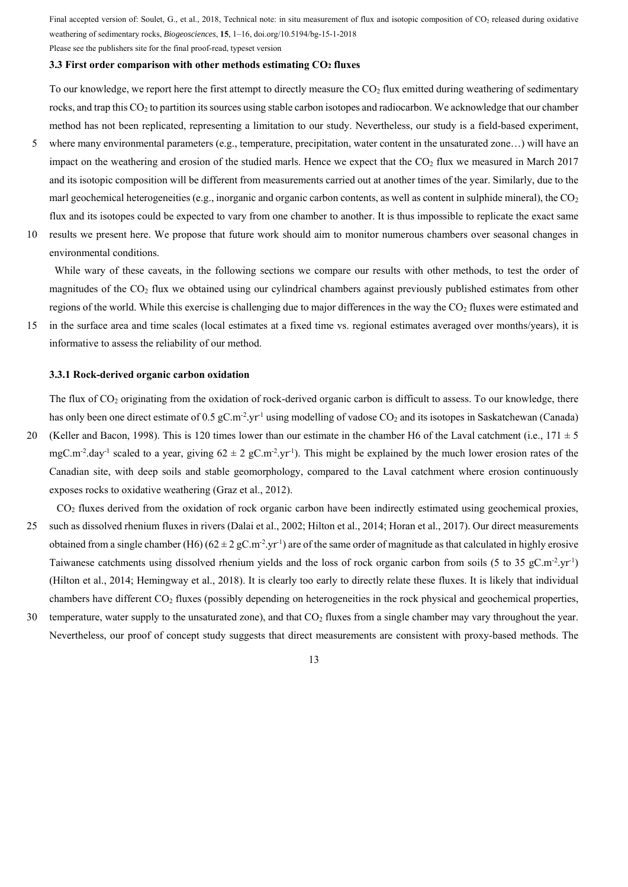Please see the publishers site for the final proof-read, typeset version

#### **3.3 First order comparison with other methods estimating CO2 fluxes**

To our knowledge, we report here the first attempt to directly measure the  $CO<sub>2</sub>$  flux emitted during weathering of sedimentary rocks, and trap this CO2 to partition its sources using stable carbon isotopes and radiocarbon. We acknowledge that our chamber method has not been replicated, representing a limitation to our study. Nevertheless, our study is a field-based experiment,

- 5 where many environmental parameters (e.g., temperature, precipitation, water content in the unsaturated zone...) will have an impact on the weathering and erosion of the studied marls. Hence we expect that the  $CO<sub>2</sub>$  flux we measured in March 2017 and its isotopic composition will be different from measurements carried out at another times of the year. Similarly, due to the marl geochemical heterogeneities (e.g., inorganic and organic carbon contents, as well as content in sulphide mineral), the  $CO<sub>2</sub>$ flux and its isotopes could be expected to vary from one chamber to another. It is thus impossible to replicate the exact same
- 10 results we present here. We propose that future work should aim to monitor numerous chambers over seasonal changes in environmental conditions.

 While wary of these caveats, in the following sections we compare our results with other methods, to test the order of magnitudes of the CO2 flux we obtained using our cylindrical chambers against previously published estimates from other regions of the world. While this exercise is challenging due to major differences in the way the  $CO<sub>2</sub>$  fluxes were estimated and

15 in the surface area and time scales (local estimates at a fixed time vs. regional estimates averaged over months/years), it is informative to assess the reliability of our method.

#### **3.3.1 Rock-derived organic carbon oxidation**

The flux of  $CO<sub>2</sub>$  originating from the oxidation of rock-derived organic carbon is difficult to assess. To our knowledge, there has only been one direct estimate of 0.5 gC.m<sup>-2</sup>.yr<sup>-1</sup> using modelling of vadose  $CO_2$  and its isotopes in Saskatchewan (Canada) 20 (Keller and Bacon, 1998). This is 120 times lower than our estimate in the chamber H6 of the Laval catchment (i.e.,  $171 \pm 5$ ) mgC.m<sup>-2</sup>.day<sup>-1</sup> scaled to a year, giving  $62 \pm 2$  gC.m<sup>-2</sup>.yr<sup>-1</sup>). This might be explained by the much lower erosion rates of the

Canadian site, with deep soils and stable geomorphology, compared to the Laval catchment where erosion continuously exposes rocks to oxidative weathering (Graz et al., 2012).

CO2 fluxes derived from the oxidation of rock organic carbon have been indirectly estimated using geochemical proxies,

- 25 such as dissolved rhenium fluxes in rivers (Dalai et al., 2002; Hilton et al., 2014; Horan et al., 2017). Our direct measurements obtained from a single chamber (H6)  $(62 \pm 2 \text{ gC.m}^2 \text{ yr}^1)$  are of the same order of magnitude as that calculated in highly erosive Taiwanese catchments using dissolved rhenium yields and the loss of rock organic carbon from soils (5 to 35 gC.m<sup>-2</sup>.yr<sup>-1</sup>) (Hilton et al., 2014; Hemingway et al., 2018). It is clearly too early to directly relate these fluxes. It is likely that individual chambers have different CO2 fluxes (possibly depending on heterogeneities in the rock physical and geochemical properties,
- 30 temperature, water supply to the unsaturated zone), and that  $CO<sub>2</sub>$  fluxes from a single chamber may vary throughout the year. Nevertheless, our proof of concept study suggests that direct measurements are consistent with proxy-based methods. The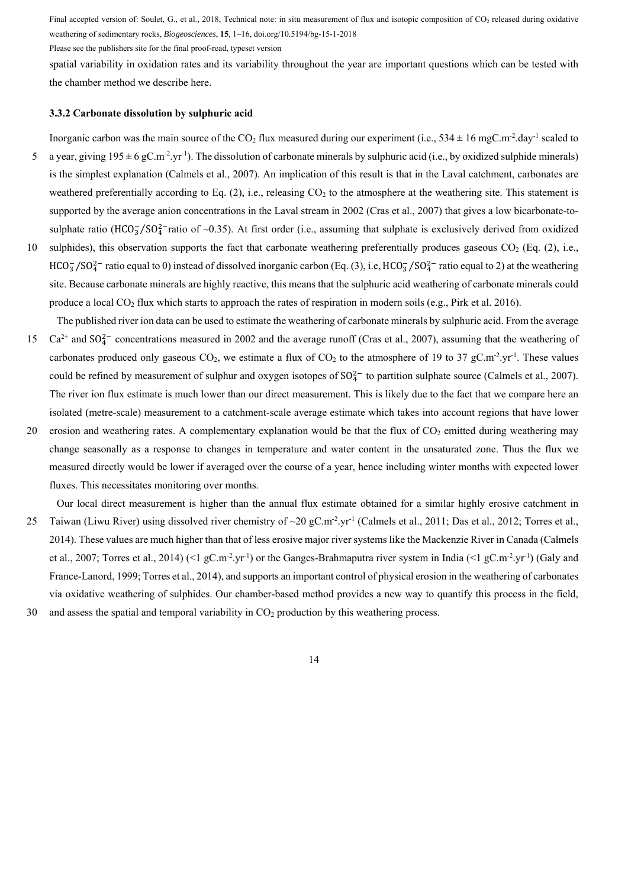Please see the publishers site for the final proof-read, typeset version

spatial variability in oxidation rates and its variability throughout the year are important questions which can be tested with the chamber method we describe here.

#### **3.3.2 Carbonate dissolution by sulphuric acid**

- Inorganic carbon was the main source of the CO<sub>2</sub> flux measured during our experiment (i.e.,  $534 \pm 16$  mgC.m<sup>-2</sup>.day<sup>-1</sup> scaled to 5 a year, giving  $195 \pm 6$  gC.m<sup>-2</sup>.yr<sup>-1</sup>). The dissolution of carbonate minerals by sulphuric acid (i.e., by oxidized sulphide minerals) is the simplest explanation (Calmels et al., 2007). An implication of this result is that in the Laval catchment, carbonates are weathered preferentially according to Eq.  $(2)$ , i.e., releasing  $CO<sub>2</sub>$  to the atmosphere at the weathering site. This statement is supported by the average anion concentrations in the Laval stream in 2002 (Cras et al., 2007) that gives a low bicarbonate-tosulphate ratio (HCO $_3^7$ /SO $_4^2$ -ratio of ~0.35). At first order (i.e., assuming that sulphate is exclusively derived from oxidized
- 10 sulphides), this observation supports the fact that carbonate weathering preferentially produces gaseous  $CO<sub>2</sub>$  (Eq. (2), i.e.,  $HCO_3^-/SO_4^2$  ratio equal to 0) instead of dissolved inorganic carbon (Eq. (3), i.e,  $HCO_3^-/SO_4^2$  ratio equal to 2) at the weathering site. Because carbonate minerals are highly reactive, this means that the sulphuric acid weathering of carbonate minerals could produce a local CO<sub>2</sub> flux which starts to approach the rates of respiration in modern soils (e.g., Pirk et al. 2016).

The published river ion data can be used to estimate the weathering of carbonate minerals by sulphuric acid. From the average 15  $Ca^{2+}$  and  $SO_4^{2-}$  concentrations measured in 2002 and the average runoff (Cras et al., 2007), assuming that the weathering of carbonates produced only gaseous CO<sub>2</sub>, we estimate a flux of CO<sub>2</sub> to the atmosphere of 19 to 37 gC.m<sup>-2</sup>.yr<sup>-1</sup>. These values could be refined by measurement of sulphur and oxygen isotopes of  $SO_4^{2-}$  to partition sulphate source (Calmels et al., 2007). The river ion flux estimate is much lower than our direct measurement. This is likely due to the fact that we compare here an isolated (metre-scale) measurement to a catchment-scale average estimate which takes into account regions that have lower

20 erosion and weathering rates. A complementary explanation would be that the flux of CO<sub>2</sub> emitted during weathering may change seasonally as a response to changes in temperature and water content in the unsaturated zone. Thus the flux we measured directly would be lower if averaged over the course of a year, hence including winter months with expected lower fluxes. This necessitates monitoring over months.

Our local direct measurement is higher than the annual flux estimate obtained for a similar highly erosive catchment in

- 25 Taiwan (Liwu River) using dissolved river chemistry of  $\sim$ 20 gC.m<sup>-2</sup>.yr<sup>-1</sup> (Calmels et al., 2011; Das et al., 2012; Torres et al., 2014). These values are much higher than that of less erosive major river systems like the Mackenzie River in Canada (Calmels et al., 2007; Torres et al., 2014) (<1 gC.m<sup>-2</sup>.yr<sup>-1</sup>) or the Ganges-Brahmaputra river system in India (<1 gC.m<sup>-2</sup>.yr<sup>-1</sup>) (Galy and France-Lanord, 1999; Torres et al., 2014), and supports an important control of physical erosion in the weathering of carbonates via oxidative weathering of sulphides. Our chamber-based method provides a new way to quantify this process in the field,
- 30 and assess the spatial and temporal variability in CO2 production by this weathering process.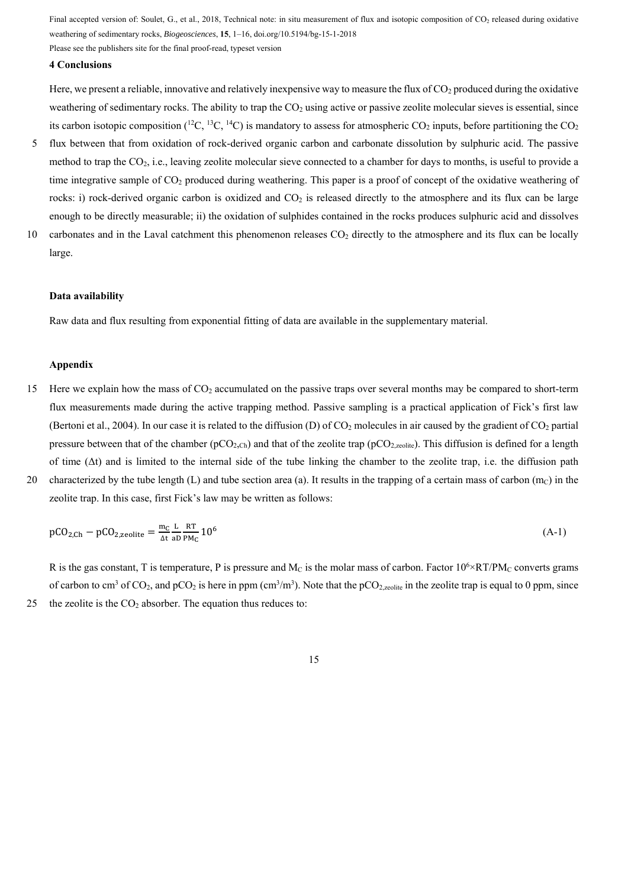Please see the publishers site for the final proof-read, typeset version

## **4 Conclusions**

Here, we present a reliable, innovative and relatively inexpensive way to measure the flux of  $CO<sub>2</sub>$  produced during the oxidative weathering of sedimentary rocks. The ability to trap the  $CO<sub>2</sub>$  using active or passive zeolite molecular sieves is essential, since its carbon isotopic composition (<sup>12</sup>C, <sup>13</sup>C, <sup>14</sup>C) is mandatory to assess for atmospheric CO<sub>2</sub> inputs, before partitioning the CO<sub>2</sub>

- 5 flux between that from oxidation of rock-derived organic carbon and carbonate dissolution by sulphuric acid. The passive method to trap the CO2, i.e., leaving zeolite molecular sieve connected to a chamber for days to months, is useful to provide a time integrative sample of CO2 produced during weathering. This paper is a proof of concept of the oxidative weathering of rocks: i) rock-derived organic carbon is oxidized and  $CO<sub>2</sub>$  is released directly to the atmosphere and its flux can be large enough to be directly measurable; ii) the oxidation of sulphides contained in the rocks produces sulphuric acid and dissolves
- 10 carbonates and in the Laval catchment this phenomenon releases CO<sub>2</sub> directly to the atmosphere and its flux can be locally large.

#### **Data availability**

Raw data and flux resulting from exponential fitting of data are available in the supplementary material.

## **Appendix**

- 15 Here we explain how the mass of  $CO<sub>2</sub>$  accumulated on the passive traps over several months may be compared to short-term flux measurements made during the active trapping method. Passive sampling is a practical application of Fick's first law (Bertoni et al., 2004). In our case it is related to the diffusion (D) of  $CO<sub>2</sub>$  molecules in air caused by the gradient of  $CO<sub>2</sub>$  partial pressure between that of the chamber ( $pCO<sub>2,Ch</sub>$ ) and that of the zeolite trap ( $pCO<sub>2,zeolite</sub>$ ). This diffusion is defined for a length of time  $(\Delta t)$  and is limited to the internal side of the tube linking the chamber to the zeolite trap, i.e. the diffusion path
- 20 characterized by the tube length (L) and tube section area (a). It results in the trapping of a certain mass of carbon (m<sub>C</sub>) in the zeolite trap. In this case, first Fick's law may be written as follows:

$$
pCO_{2,Ch} - pCO_{2,zeolite} = \frac{m_C L}{\Delta t} \frac{RT}{aD P M_C} 10^6
$$
 (A-1)

R is the gas constant, T is temperature, P is pressure and  $M_C$  is the molar mass of carbon. Factor  $10^6\times RT/PM_C$  converts grams of carbon to cm<sup>3</sup> of CO<sub>2</sub>, and pCO<sub>2</sub> is here in ppm (cm<sup>3</sup>/m<sup>3</sup>). Note that the pCO<sub>2,zeolite</sub> in the zeolite trap is equal to 0 ppm, since 25 the zeolite is the  $CO<sub>2</sub>$  absorber. The equation thus reduces to:

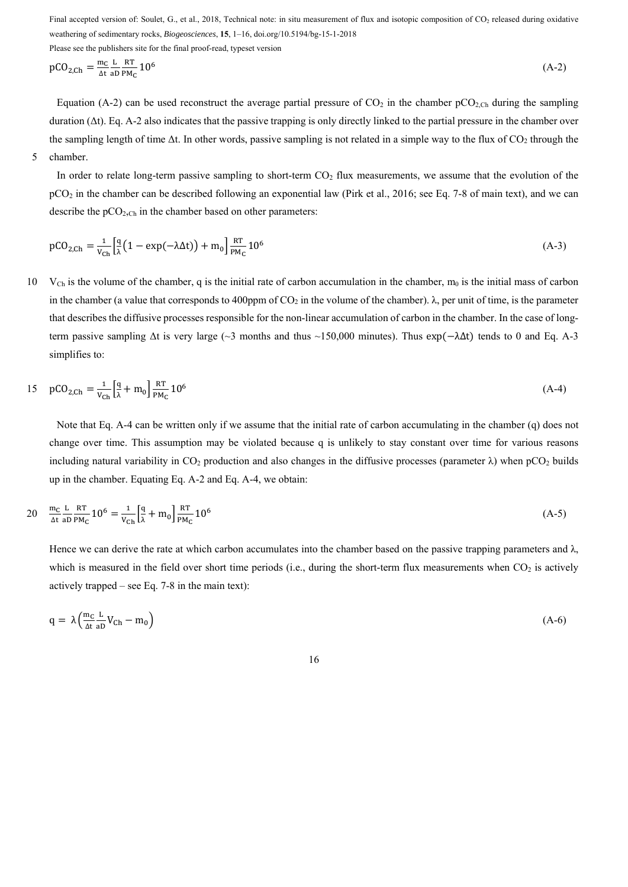Please see the publishers site for the final proof-read, typeset version

$$
pCO_{2,Ch} = \frac{m_C L R T}{\Delta t} 10^6 \tag{A-2}
$$

Equation (A-2) can be used reconstruct the average partial pressure of  $CO_2$  in the chamber  $pCO_{2,Ch}$  during the sampling duration (Δt). Eq. A-2 also indicates that the passive trapping is only directly linked to the partial pressure in the chamber over the sampling length of time  $\Delta t$ . In other words, passive sampling is not related in a simple way to the flux of  $CO<sub>2</sub>$  through the 5 chamber.

In order to relate long-term passive sampling to short-term  $CO<sub>2</sub>$  flux measurements, we assume that the evolution of the pCO2 in the chamber can be described following an exponential law (Pirk et al., 2016; see Eq. 7-8 of main text), and we can describe the  $pCO<sub>2,Ch</sub>$  in the chamber based on other parameters:

$$
pCO_{2,Ch} = \frac{1}{v_{Ch}} \left[ \frac{q}{\lambda} \left( 1 - \exp(-\lambda \Delta t) \right) + m_0 \right] \frac{RT}{PM_C} 10^6 \tag{A-3}
$$

10 V<sub>Ch</sub> is the volume of the chamber, q is the initial rate of carbon accumulation in the chamber,  $m_0$  is the initial mass of carbon in the chamber (a value that corresponds to 400ppm of  $CO_2$  in the volume of the chamber).  $\lambda$ , per unit of time, is the parameter that describes the diffusive processes responsible for the non-linear accumulation of carbon in the chamber. In the case of longterm passive sampling  $\Delta t$  is very large (~3 months and thus ~150,000 minutes). Thus  $\exp(-\lambda \Delta t)$  tends to 0 and Eq. A-3 simplifies to:

15 
$$
pCO_{2,Ch} = \frac{1}{v_{Ch}} \left[ \frac{q}{\lambda} + m_0 \right] \frac{RT}{PM_C} 10^6
$$
 (A-4)

Note that Eq. A-4 can be written only if we assume that the initial rate of carbon accumulating in the chamber (q) does not change over time. This assumption may be violated because q is unlikely to stay constant over time for various reasons including natural variability in  $CO_2$  production and also changes in the diffusive processes (parameter  $\lambda$ ) when pCO<sub>2</sub> builds up in the chamber. Equating Eq. A-2 and Eq. A-4, we obtain:

$$
20 \quad \frac{\text{m}_\text{C} \text{ L}}{\text{At aD PM}_\text{C}} 10^6 = \frac{1}{V_\text{Ch}} \left[ \frac{q}{\lambda} + \text{m}_0 \right] \frac{\text{RT}}{\text{PM}_\text{C}} 10^6 \tag{A-5}
$$

Hence we can derive the rate at which carbon accumulates into the chamber based on the passive trapping parameters and  $\lambda$ , which is measured in the field over short time periods (i.e., during the short-term flux measurements when  $CO<sub>2</sub>$  is actively actively trapped – see Eq. 7-8 in the main text):

$$
q = \lambda \left( \frac{m_C L}{\Delta t a D} V_{Ch} - m_0 \right) \tag{A-6}
$$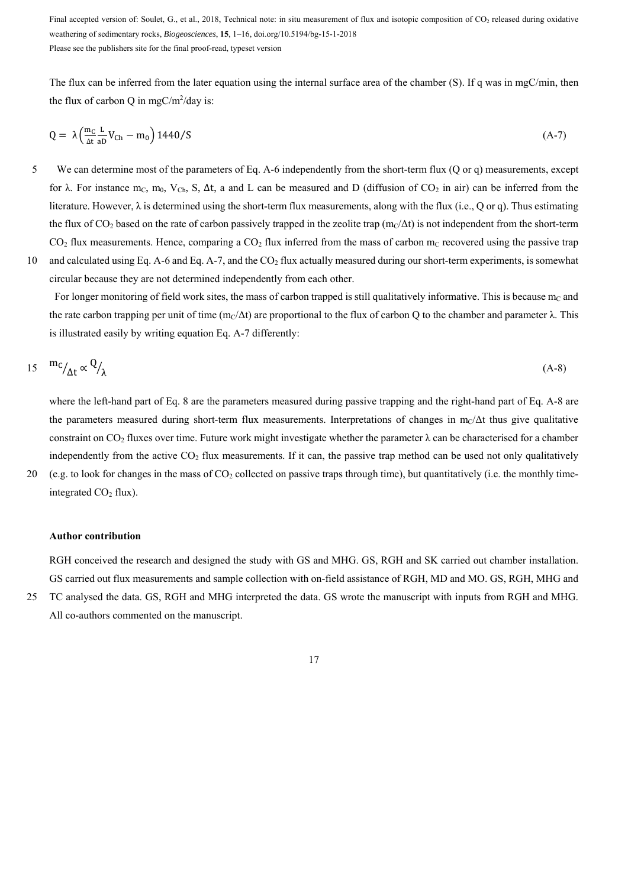Final accepted version of: Soulet, G., et al., 2018, Technical note: in situ measurement of flux and isotopic composition of CO<sub>2</sub> released during oxidative weathering of sedimentary rocks, *Biogeosciences*, **15**, 1–16, doi.org/10.5194/bg-15-1-2018 Please see the publishers site for the final proof-read, typeset version

The flux can be inferred from the later equation using the internal surface area of the chamber (S). If q was in mgC/min, then the flux of carbon Q in mgC/m<sup>2</sup>/day is:

$$
Q = \lambda \left(\frac{m_C L}{\Delta t} V_{Ch} - m_0\right) 1440/S \tag{A-7}
$$

5 We can determine most of the parameters of Eq. A-6 independently from the short-term flux (Q or q) measurements, except for  $\lambda$ . For instance m<sub>C</sub>, m<sub>0</sub>, V<sub>Ch</sub>, S,  $\Delta t$ , a and L can be measured and D (diffusion of CO<sub>2</sub> in air) can be inferred from the literature. However, λ is determined using the short-term flux measurements, along with the flux (i.e., Q or q). Thus estimating the flux of CO<sub>2</sub> based on the rate of carbon passively trapped in the zeolite trap (m $\alpha/\Delta t$ ) is not independent from the short-term  $CO<sub>2</sub>$  flux measurements. Hence, comparing a  $CO<sub>2</sub>$  flux inferred from the mass of carbon m<sub>C</sub> recovered using the passive trap 10 and calculated using Eq. A-6 and Eq. A-7, and the  $CO<sub>2</sub>$  flux actually measured during our short-term experiments, is somewhat

circular because they are not determined independently from each other. For longer monitoring of field work sites, the mass of carbon trapped is still qualitatively informative. This is because  $m<sub>C</sub>$  and

the rate carbon trapping per unit of time  $(m_C/\Delta t)$  are proportional to the flux of carbon Q to the chamber and parameter  $\lambda$ . This is illustrated easily by writing equation Eq. A-7 differently:

$$
15 \quad {}^{m}C/_{\Delta t} \propto {}^{Q}/_{\lambda} \tag{A-8}
$$

where the left-hand part of Eq. 8 are the parameters measured during passive trapping and the right-hand part of Eq. A-8 are the parameters measured during short-term flux measurements. Interpretations of changes in m $c/\Delta t$  thus give qualitative constraint on CO<sub>2</sub> fluxes over time. Future work might investigate whether the parameter  $\lambda$  can be characterised for a chamber independently from the active  $CO<sub>2</sub>$  flux measurements. If it can, the passive trap method can be used not only qualitatively 20 (e.g. to look for changes in the mass of CO2 collected on passive traps through time), but quantitatively (i.e. the monthly timeintegrated  $CO<sub>2</sub>$  flux).

#### **Author contribution**

RGH conceived the research and designed the study with GS and MHG. GS, RGH and SK carried out chamber installation. GS carried out flux measurements and sample collection with on-field assistance of RGH, MD and MO. GS, RGH, MHG and

25 TC analysed the data. GS, RGH and MHG interpreted the data. GS wrote the manuscript with inputs from RGH and MHG. All co-authors commented on the manuscript.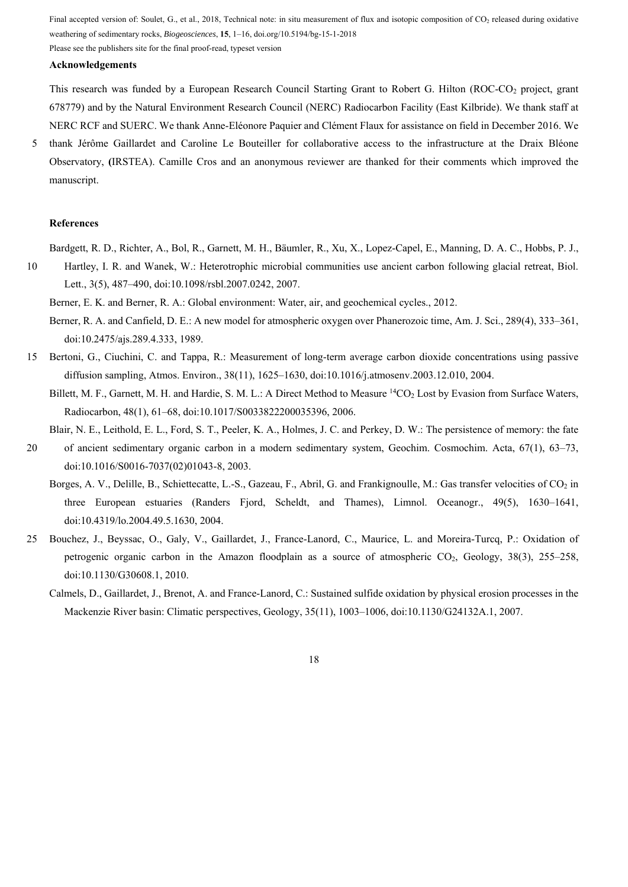Please see the publishers site for the final proof-read, typeset version

# **Acknowledgements**

This research was funded by a European Research Council Starting Grant to Robert G. Hilton (ROC-CO<sub>2</sub> project, grant 678779) and by the Natural Environment Research Council (NERC) Radiocarbon Facility (East Kilbride). We thank staff at NERC RCF and SUERC. We thank Anne-Eléonore Paquier and Clément Flaux for assistance on field in December 2016. We

5 thank Jérôme Gaillardet and Caroline Le Bouteiller for collaborative access to the infrastructure at the Draix Bléone Observatory, **(**IRSTEA). Camille Cros and an anonymous reviewer are thanked for their comments which improved the manuscript.

#### **References**

Bardgett, R. D., Richter, A., Bol, R., Garnett, M. H., Bäumler, R., Xu, X., Lopez-Capel, E., Manning, D. A. C., Hobbs, P. J.,

10 Hartley, I. R. and Wanek, W.: Heterotrophic microbial communities use ancient carbon following glacial retreat, Biol. Lett., 3(5), 487–490, doi:10.1098/rsbl.2007.0242, 2007.

Berner, E. K. and Berner, R. A.: Global environment: Water, air, and geochemical cycles., 2012.

- Berner, R. A. and Canfield, D. E.: A new model for atmospheric oxygen over Phanerozoic time, Am. J. Sci., 289(4), 333–361, doi:10.2475/ajs.289.4.333, 1989.
- 15 Bertoni, G., Ciuchini, C. and Tappa, R.: Measurement of long-term average carbon dioxide concentrations using passive diffusion sampling, Atmos. Environ., 38(11), 1625–1630, doi:10.1016/j.atmosenv.2003.12.010, 2004.

Billett, M. F., Garnett, M. H. and Hardie, S. M. L.: A Direct Method to Measure <sup>14</sup>CO<sub>2</sub> Lost by Evasion from Surface Waters, Radiocarbon, 48(1), 61–68, doi:10.1017/S0033822200035396, 2006.

- Blair, N. E., Leithold, E. L., Ford, S. T., Peeler, K. A., Holmes, J. C. and Perkey, D. W.: The persistence of memory: the fate
- 20 of ancient sedimentary organic carbon in a modern sedimentary system, Geochim. Cosmochim. Acta, 67(1), 63–73, doi:10.1016/S0016-7037(02)01043-8, 2003.
	- Borges, A. V., Delille, B., Schiettecatte, L.-S., Gazeau, F., Abril, G. and Frankignoulle, M.: Gas transfer velocities of CO<sub>2</sub> in three European estuaries (Randers Fjord, Scheldt, and Thames), Limnol. Oceanogr., 49(5), 1630–1641, doi:10.4319/lo.2004.49.5.1630, 2004.
- 25 Bouchez, J., Beyssac, O., Galy, V., Gaillardet, J., France-Lanord, C., Maurice, L. and Moreira-Turcq, P.: Oxidation of petrogenic organic carbon in the Amazon floodplain as a source of atmospheric  $CO<sub>2</sub>$ , Geology, 38(3), 255–258, doi:10.1130/G30608.1, 2010.
	- Calmels, D., Gaillardet, J., Brenot, A. and France-Lanord, C.: Sustained sulfide oxidation by physical erosion processes in the Mackenzie River basin: Climatic perspectives, Geology, 35(11), 1003–1006, doi:10.1130/G24132A.1, 2007.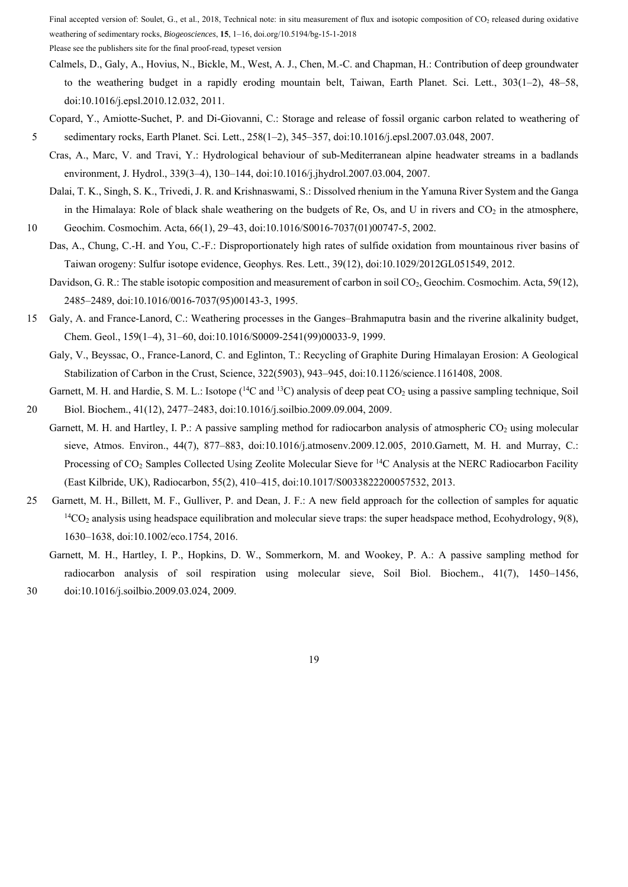Please see the publishers site for the final proof-read, typeset version

- Calmels, D., Galy, A., Hovius, N., Bickle, M., West, A. J., Chen, M.-C. and Chapman, H.: Contribution of deep groundwater to the weathering budget in a rapidly eroding mountain belt, Taiwan, Earth Planet. Sci. Lett., 303(1–2), 48–58, doi:10.1016/j.epsl.2010.12.032, 2011.
- Copard, Y., Amiotte-Suchet, P. and Di-Giovanni, C.: Storage and release of fossil organic carbon related to weathering of
- 5 sedimentary rocks, Earth Planet. Sci. Lett., 258(1–2), 345–357, doi:10.1016/j.epsl.2007.03.048, 2007.
	- Cras, A., Marc, V. and Travi, Y.: Hydrological behaviour of sub-Mediterranean alpine headwater streams in a badlands environment, J. Hydrol., 339(3–4), 130–144, doi:10.1016/j.jhydrol.2007.03.004, 2007.

Dalai, T. K., Singh, S. K., Trivedi, J. R. and Krishnaswami, S.: Dissolved rhenium in the Yamuna River System and the Ganga in the Himalaya: Role of black shale weathering on the budgets of Re, Os, and U in rivers and  $CO<sub>2</sub>$  in the atmosphere,

10 Geochim. Cosmochim. Acta, 66(1), 29–43, doi:10.1016/S0016-7037(01)00747-5, 2002.

Das, A., Chung, C.-H. and You, C.-F.: Disproportionately high rates of sulfide oxidation from mountainous river basins of Taiwan orogeny: Sulfur isotope evidence, Geophys. Res. Lett., 39(12), doi:10.1029/2012GL051549, 2012.

Davidson, G. R.: The stable isotopic composition and measurement of carbon in soil CO<sub>2</sub>, Geochim. Cosmochim. Acta, 59(12), 2485–2489, doi:10.1016/0016-7037(95)00143-3, 1995.

15 Galy, A. and France-Lanord, C.: Weathering processes in the Ganges–Brahmaputra basin and the riverine alkalinity budget, Chem. Geol., 159(1–4), 31–60, doi:10.1016/S0009-2541(99)00033-9, 1999.

Galy, V., Beyssac, O., France-Lanord, C. and Eglinton, T.: Recycling of Graphite During Himalayan Erosion: A Geological Stabilization of Carbon in the Crust, Science, 322(5903), 943–945, doi:10.1126/science.1161408, 2008.

Garnett, M. H. and Hardie, S. M. L.: Isotope  $(^{14}C$  and  $^{13}C)$  analysis of deep peat  $CO_2$  using a passive sampling technique, Soil 20 Biol. Biochem., 41(12), 2477–2483, doi:10.1016/j.soilbio.2009.09.004, 2009.

- Garnett, M. H. and Hartley, I. P.: A passive sampling method for radiocarbon analysis of atmospheric  $CO_2$  using molecular sieve, Atmos. Environ., 44(7), 877–883, doi:10.1016/j.atmosenv.2009.12.005, 2010.Garnett, M. H. and Murray, C.: Processing of CO<sub>2</sub> Samples Collected Using Zeolite Molecular Sieve for <sup>14</sup>C Analysis at the NERC Radiocarbon Facility (East Kilbride, UK), Radiocarbon, 55(2), 410–415, doi:10.1017/S0033822200057532, 2013.
- 25 Garnett, M. H., Billett, M. F., Gulliver, P. and Dean, J. F.: A new field approach for the collection of samples for aquatic  ${}^{14}CO_2$  analysis using headspace equilibration and molecular sieve traps: the super headspace method, Ecohydrology, 9(8), 1630–1638, doi:10.1002/eco.1754, 2016.
- Garnett, M. H., Hartley, I. P., Hopkins, D. W., Sommerkorn, M. and Wookey, P. A.: A passive sampling method for radiocarbon analysis of soil respiration using molecular sieve, Soil Biol. Biochem., 41(7), 1450–1456, 30 doi:10.1016/j.soilbio.2009.03.024, 2009.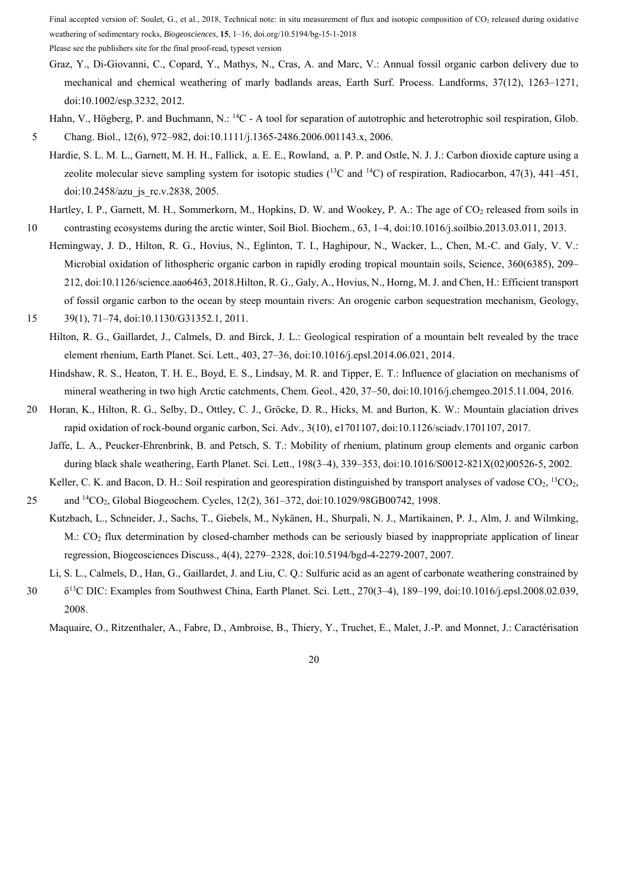Please see the publishers site for the final proof-read, typeset version

- Graz, Y., Di-Giovanni, C., Copard, Y., Mathys, N., Cras, A. and Marc, V.: Annual fossil organic carbon delivery due to mechanical and chemical weathering of marly badlands areas, Earth Surf. Process. Landforms, 37(12), 1263–1271, doi:10.1002/esp.3232, 2012.
- Hahn, V., Högberg, P. and Buchmann, N.: <sup>14</sup>C A tool for separation of autotrophic and heterotrophic soil respiration, Glob. 5 Chang. Biol., 12(6), 972–982, doi:10.1111/j.1365-2486.2006.001143.x, 2006.
- Hardie, S. L. M. L., Garnett, M. H. H., Fallick, a. E. E., Rowland, a. P. P. and Ostle, N. J. J.: Carbon dioxide capture using a zeolite molecular sieve sampling system for isotopic studies  $(^{13}C$  and  $^{14}C$ ) of respiration, Radiocarbon, 47(3), 441–451, doi:10.2458/azu\_js\_rc.v.2838, 2005.
- Hartley, I. P., Garnett, M. H., Sommerkorn, M., Hopkins, D. W. and Wookey, P. A.: The age of CO<sub>2</sub> released from soils in 10 contrasting ecosystems during the arctic winter, Soil Biol. Biochem., 63, 1–4, doi:10.1016/j.soilbio.2013.03.011, 2013.
- Hemingway, J. D., Hilton, R. G., Hovius, N., Eglinton, T. I., Haghipour, N., Wacker, L., Chen, M.-C. and Galy, V. V.: Microbial oxidation of lithospheric organic carbon in rapidly eroding tropical mountain soils, Science, 360(6385), 209– 212, doi:10.1126/science.aao6463, 2018.Hilton, R. G., Galy, A., Hovius, N., Horng, M. J. and Chen, H.: Efficient transport of fossil organic carbon to the ocean by steep mountain rivers: An orogenic carbon sequestration mechanism, Geology,
- 15 39(1), 71–74, doi:10.1130/G31352.1, 2011.
	- Hilton, R. G., Gaillardet, J., Calmels, D. and Birck, J. L.: Geological respiration of a mountain belt revealed by the trace element rhenium, Earth Planet. Sci. Lett., 403, 27–36, doi:10.1016/j.epsl.2014.06.021, 2014.
		- Hindshaw, R. S., Heaton, T. H. E., Boyd, E. S., Lindsay, M. R. and Tipper, E. T.: Influence of glaciation on mechanisms of mineral weathering in two high Arctic catchments, Chem. Geol., 420, 37–50, doi:10.1016/j.chemgeo.2015.11.004, 2016.
- 20 Horan, K., Hilton, R. G., Selby, D., Ottley, C. J., Gröcke, D. R., Hicks, M. and Burton, K. W.: Mountain glaciation drives rapid oxidation of rock-bound organic carbon, Sci. Adv., 3(10), e1701107, doi:10.1126/sciadv.1701107, 2017.
	- Jaffe, L. A., Peucker-Ehrenbrink, B. and Petsch, S. T.: Mobility of rhenium, platinum group elements and organic carbon during black shale weathering, Earth Planet. Sci. Lett., 198(3–4), 339–353, doi:10.1016/S0012-821X(02)00526-5, 2002.
	- Keller, C. K. and Bacon, D. H.: Soil respiration and georespiration distinguished by transport analyses of vadose  $CO<sub>2</sub>$ ,  ${}^{13}CO<sub>2</sub>$ ,
- 25 and <sup>14</sup>CO<sub>2</sub>, Global Biogeochem. Cycles, 12(2), 361–372, doi:10.1029/98GB00742, 1998.
	- Kutzbach, L., Schneider, J., Sachs, T., Giebels, M., Nykänen, H., Shurpali, N. J., Martikainen, P. J., Alm, J. and Wilmking, M.: CO<sub>2</sub> flux determination by closed-chamber methods can be seriously biased by inappropriate application of linear regression, Biogeosciences Discuss., 4(4), 2279–2328, doi:10.5194/bgd-4-2279-2007, 2007.
	- Li, S. L., Calmels, D., Han, G., Gaillardet, J. and Liu, C. Q.: Sulfuric acid as an agent of carbonate weathering constrained by
- δ13 30 C DIC: Examples from Southwest China, Earth Planet. Sci. Lett., 270(3–4), 189–199, doi:10.1016/j.epsl.2008.02.039, 2008.

Maquaire, O., Ritzenthaler, A., Fabre, D., Ambroise, B., Thiery, Y., Truchet, E., Malet, J.-P. and Monnet, J.: Caractérisation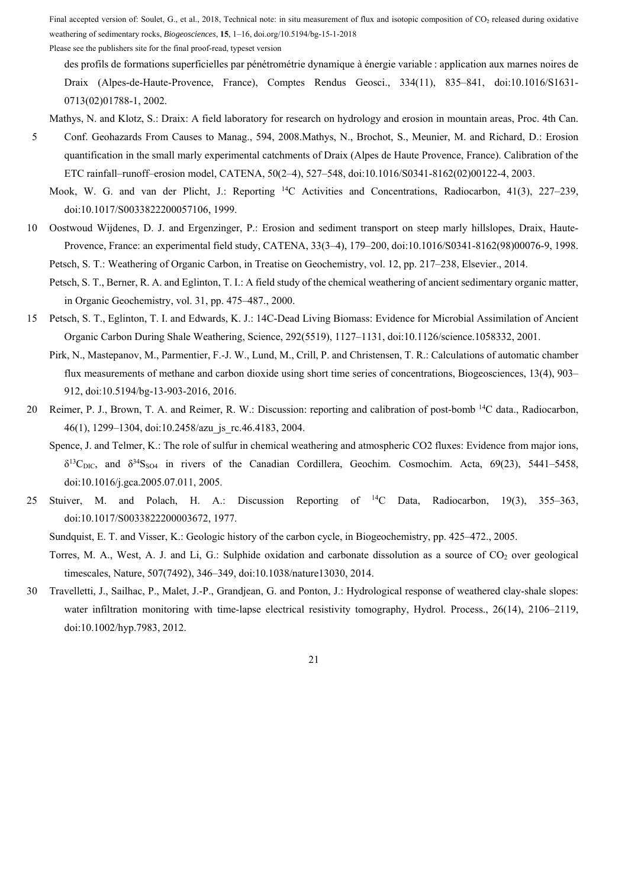Please see the publishers site for the final proof-read, typeset version

des profils de formations superficielles par pénétrométrie dynamique à énergie variable : application aux marnes noires de Draix (Alpes-de-Haute-Provence, France), Comptes Rendus Geosci., 334(11), 835–841, doi:10.1016/S1631- 0713(02)01788-1, 2002.

- Mathys, N. and Klotz, S.: Draix: A field laboratory for research on hydrology and erosion in mountain areas, Proc. 4th Can.
- 5 Conf. Geohazards From Causes to Manag., 594, 2008.Mathys, N., Brochot, S., Meunier, M. and Richard, D.: Erosion quantification in the small marly experimental catchments of Draix (Alpes de Haute Provence, France). Calibration of the ETC rainfall–runoff–erosion model, CATENA, 50(2–4), 527–548, doi:10.1016/S0341-8162(02)00122-4, 2003.
	- Mook, W. G. and van der Plicht, J.: Reporting 14C Activities and Concentrations, Radiocarbon, 41(3), 227–239, doi:10.1017/S0033822200057106, 1999.
- 10 Oostwoud Wijdenes, D. J. and Ergenzinger, P.: Erosion and sediment transport on steep marly hillslopes, Draix, Haute-Provence, France: an experimental field study, CATENA, 33(3–4), 179–200, doi:10.1016/S0341-8162(98)00076-9, 1998. Petsch, S. T.: Weathering of Organic Carbon, in Treatise on Geochemistry, vol. 12, pp. 217–238, Elsevier., 2014.
	- Petsch, S. T., Berner, R. A. and Eglinton, T. I.: A field study of the chemical weathering of ancient sedimentary organic matter, in Organic Geochemistry, vol. 31, pp. 475–487., 2000.
- 15 Petsch, S. T., Eglinton, T. I. and Edwards, K. J.: 14C-Dead Living Biomass: Evidence for Microbial Assimilation of Ancient Organic Carbon During Shale Weathering, Science, 292(5519), 1127–1131, doi:10.1126/science.1058332, 2001.
	- Pirk, N., Mastepanov, M., Parmentier, F.-J. W., Lund, M., Crill, P. and Christensen, T. R.: Calculations of automatic chamber flux measurements of methane and carbon dioxide using short time series of concentrations, Biogeosciences, 13(4), 903– 912, doi:10.5194/bg-13-903-2016, 2016.
- 20 Reimer, P. J., Brown, T. A. and Reimer, R. W.: Discussion: reporting and calibration of post-bomb <sup>14</sup>C data., Radiocarbon, 46(1), 1299–1304, doi:10.2458/azu\_js\_rc.46.4183, 2004.
	- Spence, J. and Telmer, K.: The role of sulfur in chemical weathering and atmospheric CO2 fluxes: Evidence from major ions,  $\delta^{13}$ C<sub>DIC</sub>, and  $\delta^{34}$ S<sub>SO4</sub> in rivers of the Canadian Cordillera, Geochim. Cosmochim. Acta, 69(23), 5441–5458, doi:10.1016/j.gca.2005.07.011, 2005.
- 25 Stuiver, M. and Polach, H. A.: Discussion Reporting of  ${}^{14}$ C Data, Radiocarbon, 19(3), 355–363, doi:10.1017/S0033822200003672, 1977.
	- Sundquist, E. T. and Visser, K.: Geologic history of the carbon cycle, in Biogeochemistry, pp. 425–472., 2005.
	- Torres, M. A., West, A. J. and Li, G.: Sulphide oxidation and carbonate dissolution as a source of  $CO<sub>2</sub>$  over geological timescales, Nature, 507(7492), 346–349, doi:10.1038/nature13030, 2014.
- 30 Travelletti, J., Sailhac, P., Malet, J.-P., Grandjean, G. and Ponton, J.: Hydrological response of weathered clay-shale slopes: water infiltration monitoring with time-lapse electrical resistivity tomography, Hydrol. Process., 26(14), 2106–2119, doi:10.1002/hyp.7983, 2012.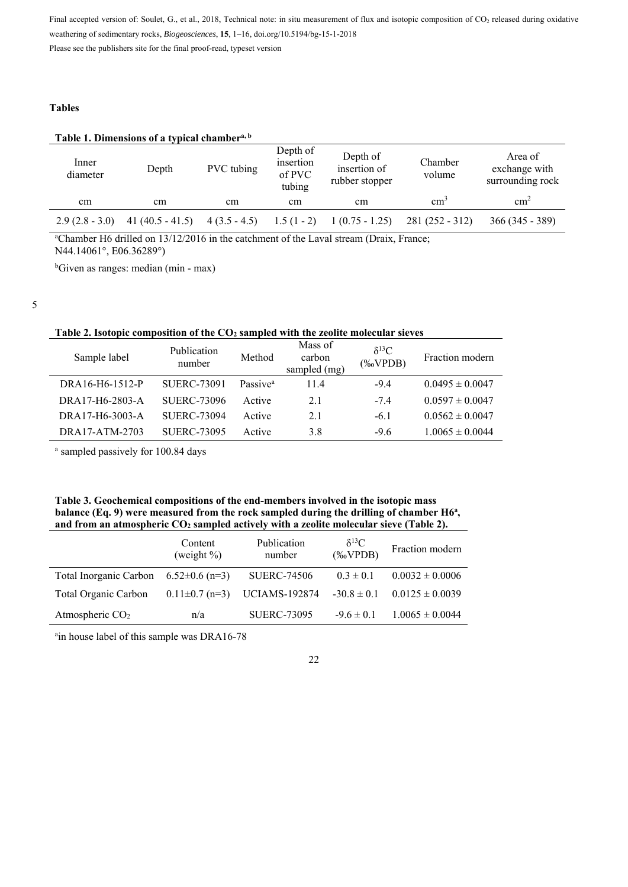Please see the publishers site for the final proof-read, typeset version

## **Tables**

# **Table 1. Dimensions of a typical chambera, b**

| Inner<br>diameter | Depth             | PVC tubing     | Depth of<br>insertion<br>of PVC<br>tubing | Depth of<br>insertion of<br>rubber stopper | Chamber<br>volume | Area of<br>exchange with<br>surrounding rock |
|-------------------|-------------------|----------------|-------------------------------------------|--------------------------------------------|-------------------|----------------------------------------------|
| cm                | cm                | cm             | cm                                        | cm                                         | cm <sup>3</sup>   | cm <sup>2</sup>                              |
| $2.9(2.8 - 3.0)$  | $41(40.5 - 41.5)$ | $4(3.5 - 4.5)$ | $1.5(1-2)$                                | $1(0.75 - 1.25)$                           | $281(252 - 312)$  | $366(345 - 389)$                             |

<sup>a</sup>Chamber H6 drilled on 13/12/2016 in the catchment of the Laval stream (Draix, France; N44.14061°, E06.36289°)

b Given as ranges: median (min - max)

5

l,

# **Table 2. Isotopic composition of the CO2 sampled with the zeolite molecular sieves**

| Sample label    | Publication<br>number | Method               | Mass of<br>carbon<br>sampled (mg) | $\delta^{13}C$<br>$(\%oVPDB)$ | Fraction modern     |
|-----------------|-----------------------|----------------------|-----------------------------------|-------------------------------|---------------------|
| DRA16-H6-1512-P | <b>SUERC-73091</b>    | Passive <sup>a</sup> | 114                               | $-9.4$                        | $0.0495 \pm 0.0047$ |
| DRA17-H6-2803-A | <b>SUERC-73096</b>    | Active               | 2.1                               | $-7.4$                        | $0.0597 \pm 0.0047$ |
| DRA17-H6-3003-A | <b>SUERC-73094</b>    | Active               | 2.1                               | $-6.1$                        | $0.0562 \pm 0.0047$ |
| DRA17-ATM-2703  | <b>SUERC-73095</b>    | Active               | 3.8                               | $-9.6$                        | $1.0065 \pm 0.0044$ |

a sampled passively for 100.84 days

| Table 3. Geochemical compositions of the end-members involved in the isotopic mass                 |
|----------------------------------------------------------------------------------------------------|
| balance (Eq. 9) were measured from the rock sampled during the drilling of chamber $H6a$ ,         |
| and from an atmospheric CO <sub>2</sub> sampled actively with a zeolite molecular sieve (Table 2). |

|                                           | Content<br>(weight $\%$ ) | Publication<br>number         | $\delta^{13}C$<br>$(%$ (% $VPDB)$ | Fraction modern     |
|-------------------------------------------|---------------------------|-------------------------------|-----------------------------------|---------------------|
| Total Inorganic Carbon $6.52\pm0.6$ (n=3) |                           | <b>SUERC-74506</b>            | $0.3 \pm 0.1$                     | $0.0032 \pm 0.0006$ |
| Total Organic Carbon                      | $0.11 \pm 0.7$ (n=3)      | UCIAMS-192874 $-30.8 \pm 0.1$ |                                   | $0.0125 \pm 0.0039$ |
| Atmospheric $CO2$                         | n/a                       | <b>SUERC-73095</b>            | $-9.6 \pm 0.1$                    | $1.0065 \pm 0.0044$ |

ain house label of this sample was DRA16-78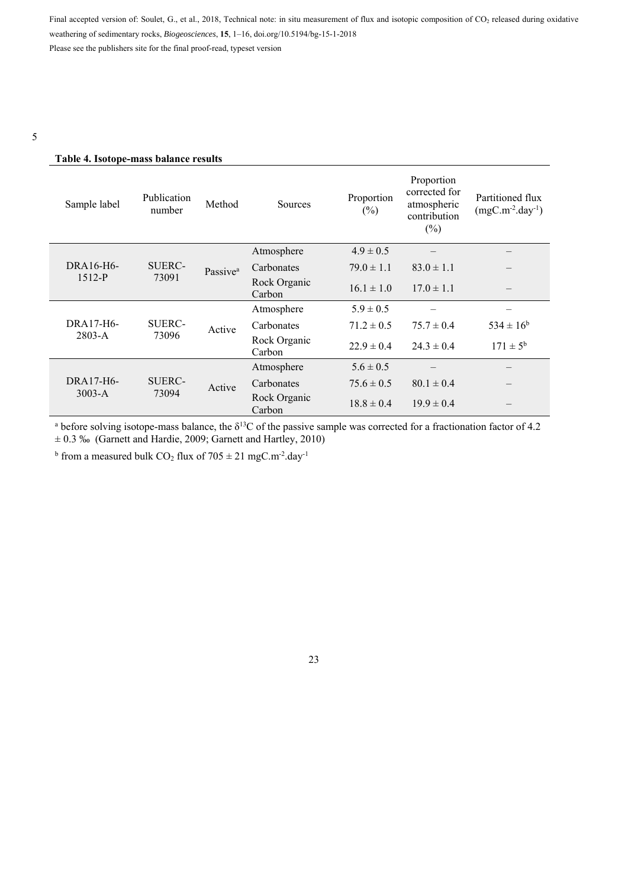Please see the publishers site for the final proof-read, typeset version

# **Table 4. Isotope-mass balance results**

| Sample label | Publication<br>number  | Method               | Sources                | Proportion<br>$(\%)$ | Proportion<br>corrected for<br>atmospheric<br>contribution<br>$(\%)$ | Partitioned flux<br>$(mgC.m^{-2}.day^{-1})$ |
|--------------|------------------------|----------------------|------------------------|----------------------|----------------------------------------------------------------------|---------------------------------------------|
|              | <b>SUERC-</b><br>73091 | Passive <sup>a</sup> | Atmosphere             | $4.9 \pm 0.5$        |                                                                      |                                             |
| DRA16-H6-    |                        |                      | Carbonates             | $79.0 \pm 1.1$       | $83.0 \pm 1.1$                                                       |                                             |
| $1512 - P$   |                        |                      | Rock Organic<br>Carbon | $16.1 \pm 1.0$       | $17.0 \pm 1.1$                                                       | $\overline{\phantom{m}}$                    |
|              | <b>SUERC-</b><br>73096 | Active               | Atmosphere             | $5.9 \pm 0.5$        |                                                                      |                                             |
| DRA17-H6-    |                        |                      | Carbonates             | $71.2 \pm 0.5$       | $75.7 \pm 0.4$                                                       | $534 \pm 16^b$                              |
| $2803 - A$   |                        |                      | Rock Organic<br>Carbon | $22.9 \pm 0.4$       | $24.3 \pm 0.4$                                                       | $171 \pm 5^{\rm b}$                         |
|              | <b>SUERC-</b><br>73094 | Active               | Atmosphere             | $5.6 \pm 0.5$        |                                                                      |                                             |
| $DRA17-H6-$  |                        |                      | Carbonates             | $75.6 \pm 0.5$       | $80.1 \pm 0.4$                                                       |                                             |
| $3003-A$     |                        |                      | Rock Organic<br>Carbon | $18.8 \pm 0.4$       | $19.9 \pm 0.4$                                                       |                                             |

<sup>a</sup> before solving isotope-mass balance, the  $\delta^{13}C$  of the passive sample was corrected for a fractionation factor of 4.2 ± 0.3 ‰ (Garnett and Hardie, 2009; Garnett and Hartley, 2010)

<sup>b</sup> from a measured bulk  $CO_2$  flux of  $705 \pm 21$  mgC.m<sup>-2</sup>.day<sup>-1</sup>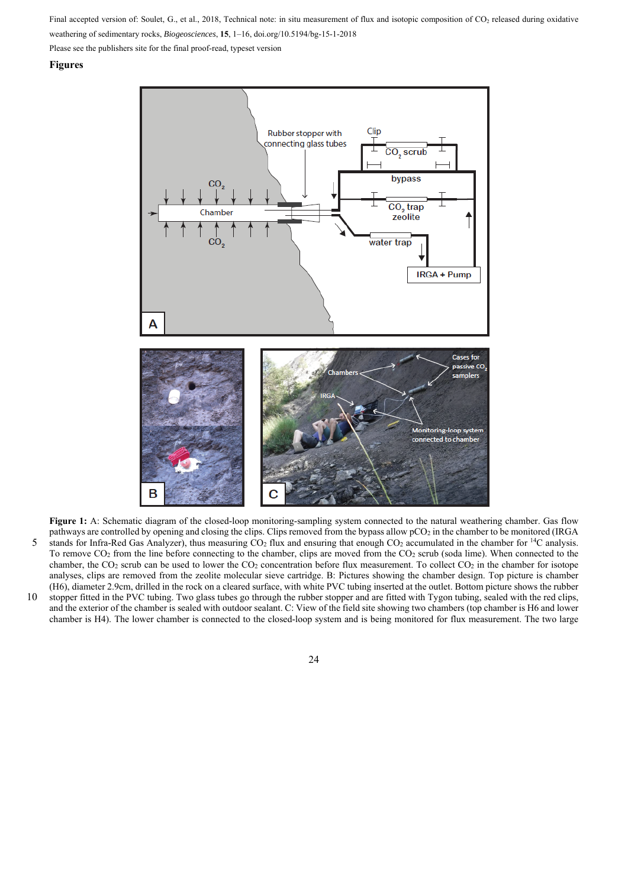Please see the publishers site for the final proof-read, typeset version

#### **Figures**



**Figure 1:** A: Schematic diagram of the closed-loop monitoring-sampling system connected to the natural weathering chamber. Gas flow pathways are controlled by opening and closing the clips. Clips removed from the bypass allow pCO2 in the chamber to be monitored (IRGA 5 stands for Infra-Red Gas Analyzer), thus measuring  $CO_2$  flux and ensuring that enough  $CO_2$  accumulated in the chamber for <sup>14</sup>C analysis. To remove CO2 from the line before connecting to the chamber, clips are moved from the CO2 scrub (soda lime). When connected to the chamber, the CO<sub>2</sub> scrub can be used to lower the CO<sub>2</sub> concentration before flux measurement. To collect CO<sub>2</sub> in the chamber for isotope analyses, clips are removed from the zeolite molecular sieve cartridge. B: Pictures showing the chamber design. Top picture is chamber (H6), diameter 2.9cm, drilled in the rock on a cleared surface, with white PVC tubing inserted at the outlet. Bottom picture shows the rubber 10 stopper fitted in the PVC tubing. Two glass tubes go through the rubber stopper and are fitted with Tygon tubing, sealed with the red clips, and the exterior of the chamber is sealed with outdoor sealant. C: View of the field site showing two chambers (top chamber is H6 and lower chamber is H4). The lower chamber is connected to the closed-loop system and is being monitored for flux measurement. The two large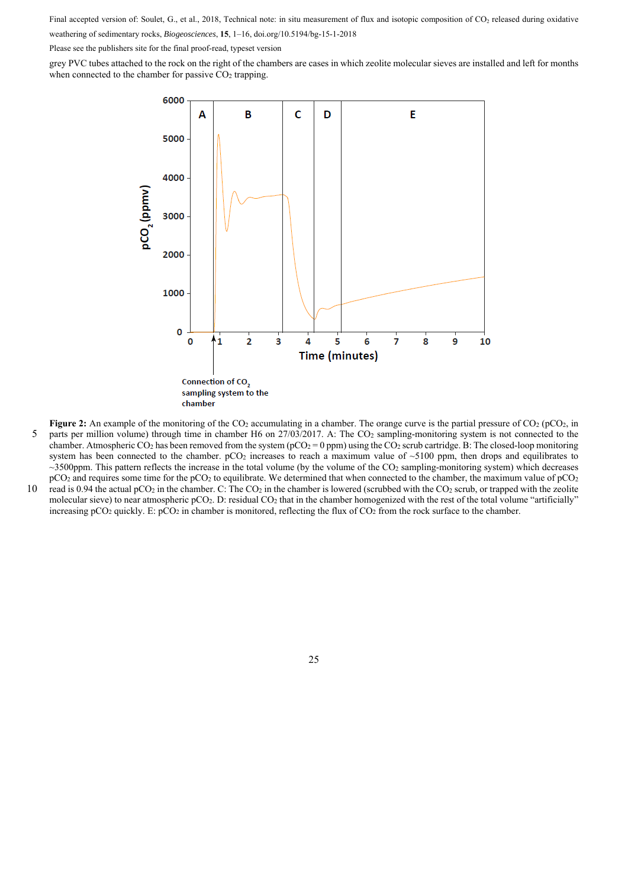Please see the publishers site for the final proof-read, typeset version

grey PVC tubes attached to the rock on the right of the chambers are cases in which zeolite molecular sieves are installed and left for months when connected to the chamber for passive  $CO<sub>2</sub>$  trapping.



**Figure 2:** An example of the monitoring of the CO<sub>2</sub> accumulating in a chamber. The orange curve is the partial pressure of CO<sub>2</sub> (pCO<sub>2</sub>, in 5 parts per million volume) through time in chamber H6 on 27/03/2017. A: The CO2 sampling-monitoring system is not connected to the chamber. Atmospheric CO<sub>2</sub> has been removed from the system ( $pCO_2 = 0$  ppm) using the CO<sub>2</sub> scrub cartridge. B: The closed-loop monitoring system has been connected to the chamber.  $pCO<sub>2</sub>$  increases to reach a maximum value of  $\sim$ 5100 ppm, then drops and equilibrates to

 $\sim$ 3500ppm. This pattern reflects the increase in the total volume (by the volume of the CO<sub>2</sub> sampling-monitoring system) which decreases pCO<sub>2</sub> and requires some time for the pCO<sub>2</sub> to equilibrate. We determined that when connected to the chamber, the maximum value of pCO<sub>2</sub> 10 read is 0.94 the actual pCO<sub>2</sub> in the chamber. C: The CO<sub>2</sub> in the chamber is lowered (scrubbed with the CO<sub>2</sub> scrub, or trapped with the zeolite molecular sieve) to near atmospheric pCO<sub>2</sub>. D: residual CO<sub>2</sub> that in the chamber homogenized with the rest of the total volume "artificially" increasing  $pCO_2$  quickly. E:  $pCO_2$  in chamber is monitored, reflecting the flux of  $CO_2$  from the rock surface to the chamber.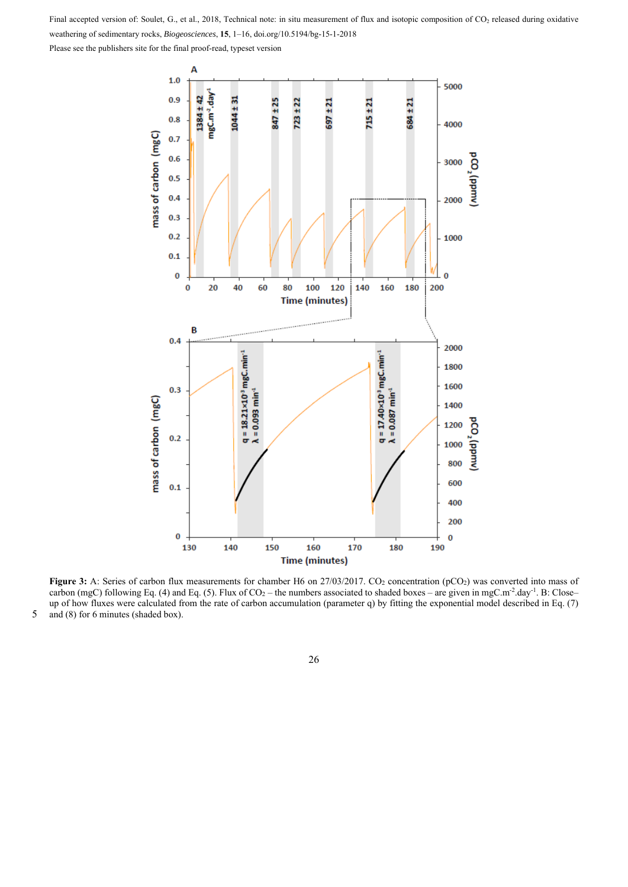Please see the publishers site for the final proof-read, typeset version



Figure 3: A: Series of carbon flux measurements for chamber H6 on 27/03/2017. CO<sub>2</sub> concentration (pCO<sub>2</sub>) was converted into mass of carbon (mgC) following Eq. (4) and Eq. (5). Flux of  $CO_2$  – the numbers associated to shaded boxes – are given in mgC.m<sup>-2</sup>.day<sup>-1</sup>. B: Close– up of how fluxes were calculated from the rate of carbon accumulation (parameter q) by fitting the exponential model described in Eq. (7) 5 and (8) for 6 minutes (shaded box).